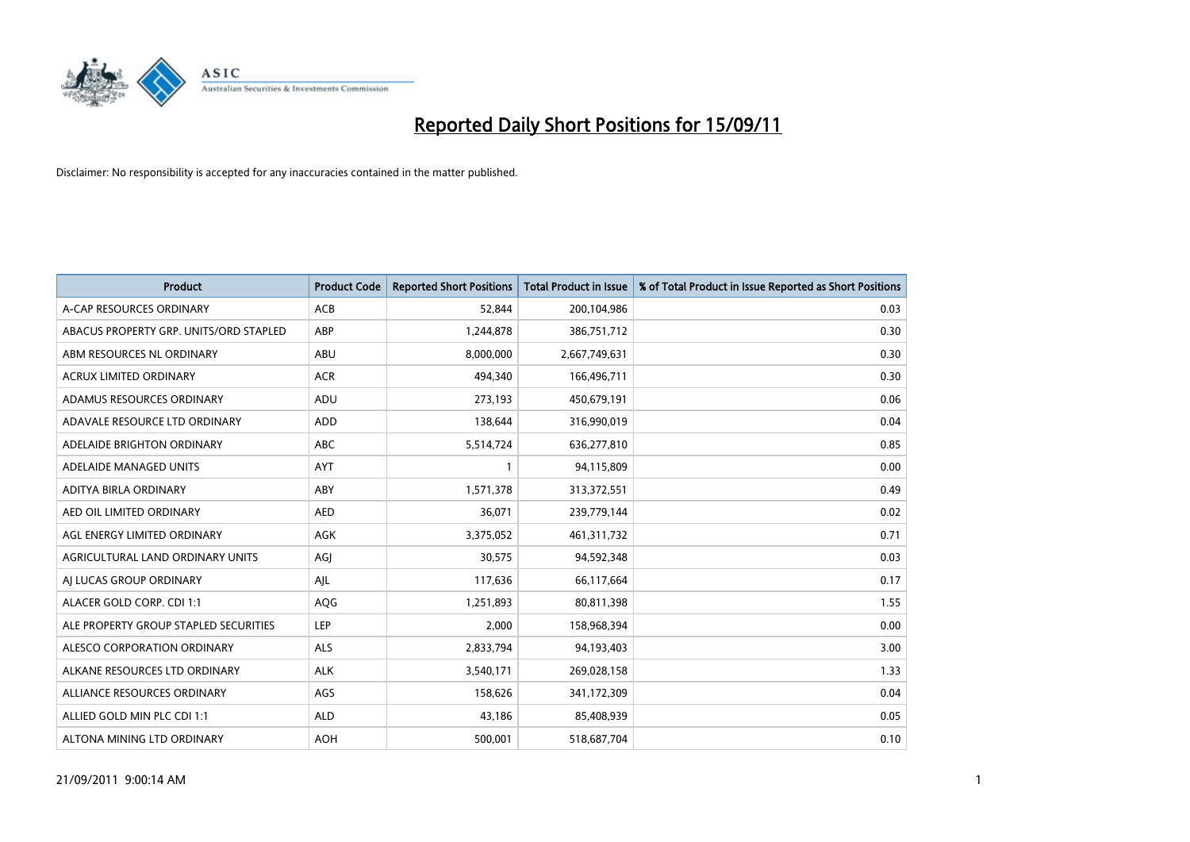

| <b>Product</b>                         | <b>Product Code</b> | <b>Reported Short Positions</b> | Total Product in Issue | % of Total Product in Issue Reported as Short Positions |
|----------------------------------------|---------------------|---------------------------------|------------------------|---------------------------------------------------------|
| A-CAP RESOURCES ORDINARY               | <b>ACB</b>          | 52,844                          | 200,104,986            | 0.03                                                    |
| ABACUS PROPERTY GRP. UNITS/ORD STAPLED | ABP                 | 1,244,878                       | 386,751,712            | 0.30                                                    |
| ABM RESOURCES NL ORDINARY              | ABU                 | 8,000,000                       | 2,667,749,631          | 0.30                                                    |
| ACRUX LIMITED ORDINARY                 | <b>ACR</b>          | 494,340                         | 166,496,711            | 0.30                                                    |
| ADAMUS RESOURCES ORDINARY              | ADU                 | 273,193                         | 450,679,191            | 0.06                                                    |
| ADAVALE RESOURCE LTD ORDINARY          | ADD                 | 138,644                         | 316,990,019            | 0.04                                                    |
| ADELAIDE BRIGHTON ORDINARY             | <b>ABC</b>          | 5,514,724                       | 636,277,810            | 0.85                                                    |
| ADELAIDE MANAGED UNITS                 | <b>AYT</b>          |                                 | 94,115,809             | 0.00                                                    |
| ADITYA BIRLA ORDINARY                  | ABY                 | 1,571,378                       | 313,372,551            | 0.49                                                    |
| AED OIL LIMITED ORDINARY               | <b>AED</b>          | 36,071                          | 239,779,144            | 0.02                                                    |
| AGL ENERGY LIMITED ORDINARY            | <b>AGK</b>          | 3,375,052                       | 461,311,732            | 0.71                                                    |
| AGRICULTURAL LAND ORDINARY UNITS       | AGI                 | 30,575                          | 94,592,348             | 0.03                                                    |
| AI LUCAS GROUP ORDINARY                | AJL                 | 117,636                         | 66,117,664             | 0.17                                                    |
| ALACER GOLD CORP. CDI 1:1              | AQG                 | 1,251,893                       | 80,811,398             | 1.55                                                    |
| ALE PROPERTY GROUP STAPLED SECURITIES  | <b>LEP</b>          | 2,000                           | 158,968,394            | 0.00                                                    |
| ALESCO CORPORATION ORDINARY            | <b>ALS</b>          | 2,833,794                       | 94,193,403             | 3.00                                                    |
| ALKANE RESOURCES LTD ORDINARY          | <b>ALK</b>          | 3,540,171                       | 269,028,158            | 1.33                                                    |
| ALLIANCE RESOURCES ORDINARY            | <b>AGS</b>          | 158,626                         | 341,172,309            | 0.04                                                    |
| ALLIED GOLD MIN PLC CDI 1:1            | <b>ALD</b>          | 43,186                          | 85,408,939             | 0.05                                                    |
| ALTONA MINING LTD ORDINARY             | <b>AOH</b>          | 500.001                         | 518,687,704            | 0.10                                                    |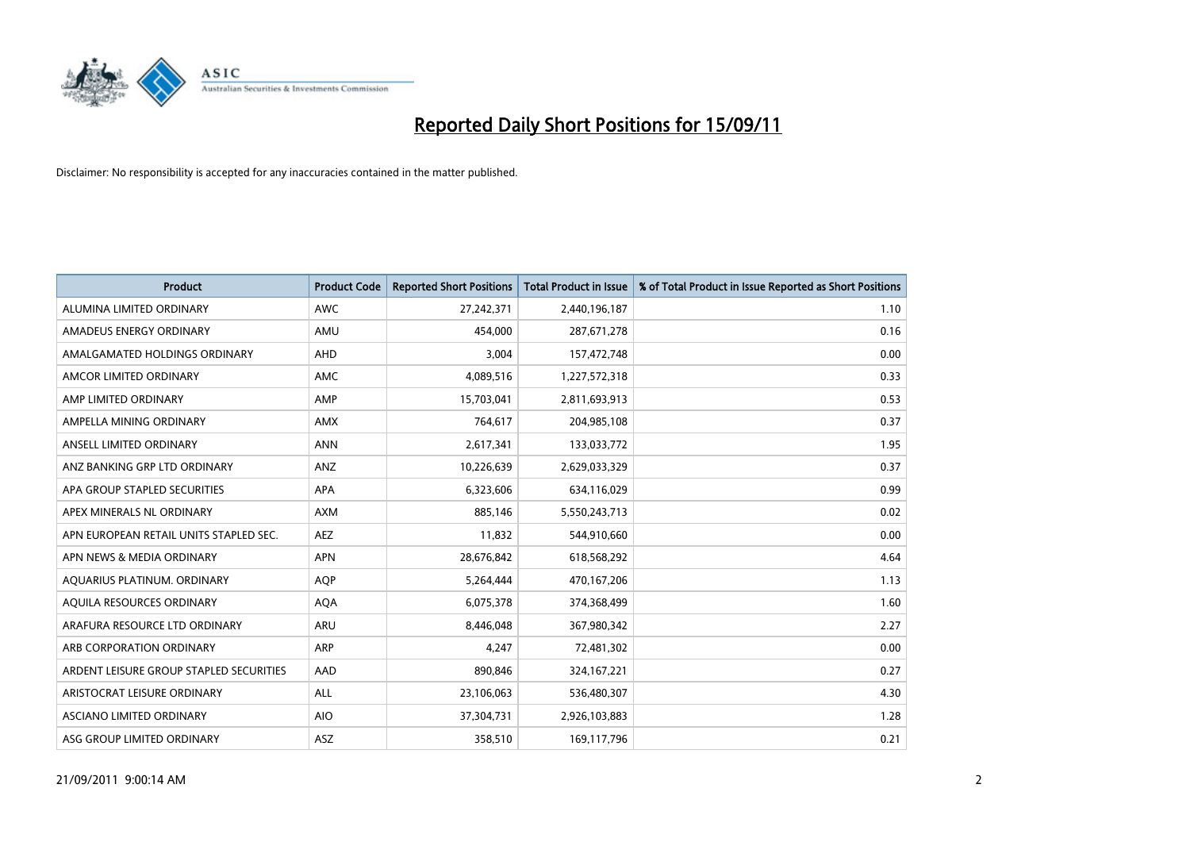

| <b>Product</b>                          | <b>Product Code</b> | <b>Reported Short Positions</b> | Total Product in Issue | % of Total Product in Issue Reported as Short Positions |
|-----------------------------------------|---------------------|---------------------------------|------------------------|---------------------------------------------------------|
| ALUMINA LIMITED ORDINARY                | <b>AWC</b>          | 27,242,371                      | 2,440,196,187          | 1.10                                                    |
| AMADEUS ENERGY ORDINARY                 | AMU                 | 454,000                         | 287,671,278            | 0.16                                                    |
| AMALGAMATED HOLDINGS ORDINARY           | <b>AHD</b>          | 3,004                           | 157,472,748            | 0.00                                                    |
| AMCOR LIMITED ORDINARY                  | <b>AMC</b>          | 4,089,516                       | 1,227,572,318          | 0.33                                                    |
| AMP LIMITED ORDINARY                    | AMP                 | 15,703,041                      | 2,811,693,913          | 0.53                                                    |
| AMPELLA MINING ORDINARY                 | <b>AMX</b>          | 764,617                         | 204,985,108            | 0.37                                                    |
| ANSELL LIMITED ORDINARY                 | <b>ANN</b>          | 2,617,341                       | 133,033,772            | 1.95                                                    |
| ANZ BANKING GRP LTD ORDINARY            | ANZ                 | 10,226,639                      | 2,629,033,329          | 0.37                                                    |
| APA GROUP STAPLED SECURITIES            | APA                 | 6,323,606                       | 634,116,029            | 0.99                                                    |
| APEX MINERALS NL ORDINARY               | <b>AXM</b>          | 885,146                         | 5,550,243,713          | 0.02                                                    |
| APN EUROPEAN RETAIL UNITS STAPLED SEC.  | <b>AEZ</b>          | 11,832                          | 544,910,660            | 0.00                                                    |
| APN NEWS & MEDIA ORDINARY               | <b>APN</b>          | 28,676,842                      | 618,568,292            | 4.64                                                    |
| AQUARIUS PLATINUM. ORDINARY             | <b>AOP</b>          | 5,264,444                       | 470,167,206            | 1.13                                                    |
| AQUILA RESOURCES ORDINARY               | <b>AQA</b>          | 6,075,378                       | 374,368,499            | 1.60                                                    |
| ARAFURA RESOURCE LTD ORDINARY           | <b>ARU</b>          | 8,446,048                       | 367,980,342            | 2.27                                                    |
| ARB CORPORATION ORDINARY                | ARP                 | 4.247                           | 72,481,302             | 0.00                                                    |
| ARDENT LEISURE GROUP STAPLED SECURITIES | AAD                 | 890,846                         | 324, 167, 221          | 0.27                                                    |
| ARISTOCRAT LEISURE ORDINARY             | ALL                 | 23,106,063                      | 536,480,307            | 4.30                                                    |
| ASCIANO LIMITED ORDINARY                | <b>AIO</b>          | 37,304,731                      | 2,926,103,883          | 1.28                                                    |
| ASG GROUP LIMITED ORDINARY              | <b>ASZ</b>          | 358,510                         | 169,117,796            | 0.21                                                    |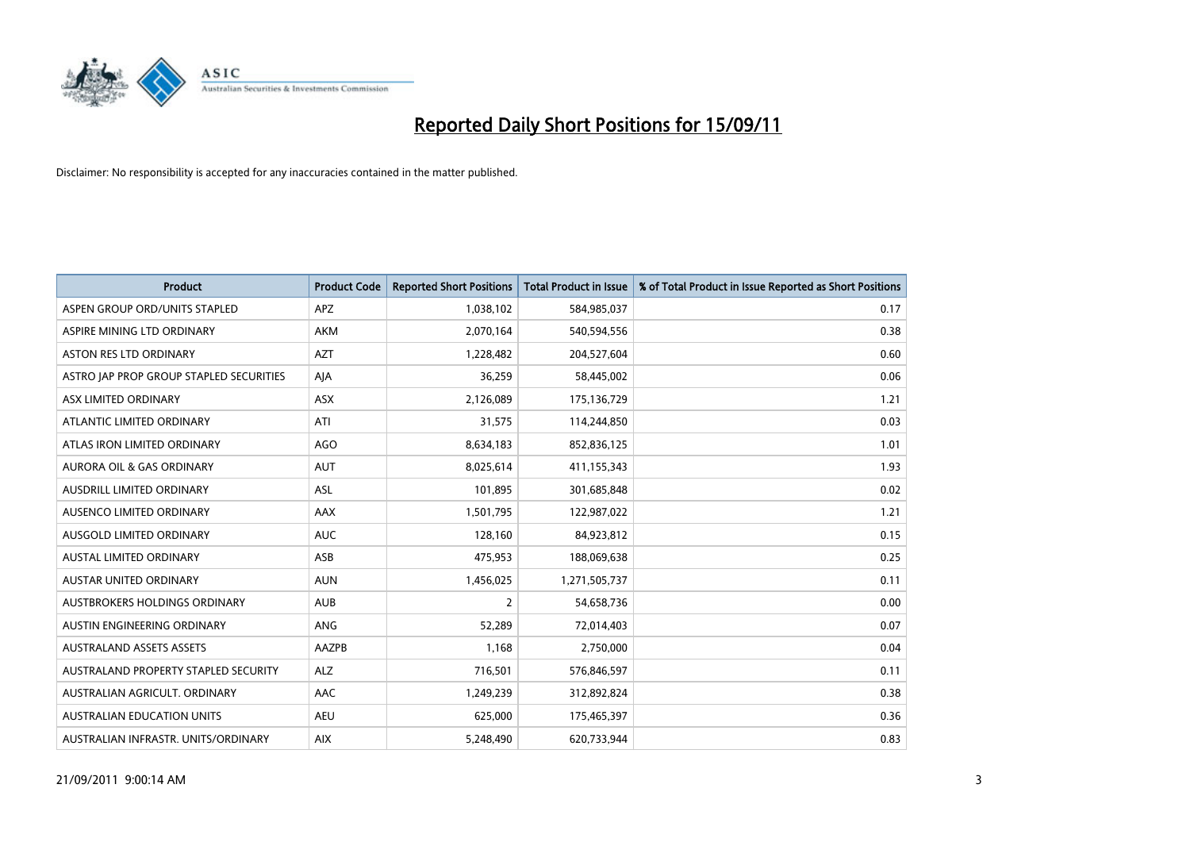

| <b>Product</b>                          | <b>Product Code</b> | <b>Reported Short Positions</b> | Total Product in Issue | % of Total Product in Issue Reported as Short Positions |
|-----------------------------------------|---------------------|---------------------------------|------------------------|---------------------------------------------------------|
| ASPEN GROUP ORD/UNITS STAPLED           | APZ                 | 1,038,102                       | 584,985,037            | 0.17                                                    |
| ASPIRE MINING LTD ORDINARY              | <b>AKM</b>          | 2,070,164                       | 540,594,556            | 0.38                                                    |
| <b>ASTON RES LTD ORDINARY</b>           | <b>AZT</b>          | 1,228,482                       | 204,527,604            | 0.60                                                    |
| ASTRO JAP PROP GROUP STAPLED SECURITIES | AJA                 | 36,259                          | 58,445,002             | 0.06                                                    |
| ASX LIMITED ORDINARY                    | <b>ASX</b>          | 2,126,089                       | 175,136,729            | 1.21                                                    |
| ATLANTIC LIMITED ORDINARY               | ATI                 | 31,575                          | 114,244,850            | 0.03                                                    |
| ATLAS IRON LIMITED ORDINARY             | <b>AGO</b>          | 8,634,183                       | 852,836,125            | 1.01                                                    |
| <b>AURORA OIL &amp; GAS ORDINARY</b>    | <b>AUT</b>          | 8,025,614                       | 411,155,343            | 1.93                                                    |
| AUSDRILL LIMITED ORDINARY               | <b>ASL</b>          | 101,895                         | 301,685,848            | 0.02                                                    |
| AUSENCO LIMITED ORDINARY                | <b>AAX</b>          | 1,501,795                       | 122,987,022            | 1.21                                                    |
| AUSGOLD LIMITED ORDINARY                | <b>AUC</b>          | 128,160                         | 84,923,812             | 0.15                                                    |
| <b>AUSTAL LIMITED ORDINARY</b>          | ASB                 | 475,953                         | 188,069,638            | 0.25                                                    |
| <b>AUSTAR UNITED ORDINARY</b>           | <b>AUN</b>          | 1,456,025                       | 1,271,505,737          | 0.11                                                    |
| AUSTBROKERS HOLDINGS ORDINARY           | <b>AUB</b>          | 2                               | 54,658,736             | 0.00                                                    |
| AUSTIN ENGINEERING ORDINARY             | <b>ANG</b>          | 52,289                          | 72,014,403             | 0.07                                                    |
| <b>AUSTRALAND ASSETS ASSETS</b>         | <b>AAZPB</b>        | 1.168                           | 2,750,000              | 0.04                                                    |
| AUSTRALAND PROPERTY STAPLED SECURITY    | <b>ALZ</b>          | 716,501                         | 576,846,597            | 0.11                                                    |
| AUSTRALIAN AGRICULT. ORDINARY           | AAC                 | 1,249,239                       | 312,892,824            | 0.38                                                    |
| <b>AUSTRALIAN EDUCATION UNITS</b>       | <b>AEU</b>          | 625,000                         | 175,465,397            | 0.36                                                    |
| AUSTRALIAN INFRASTR, UNITS/ORDINARY     | <b>AIX</b>          | 5.248.490                       | 620,733,944            | 0.83                                                    |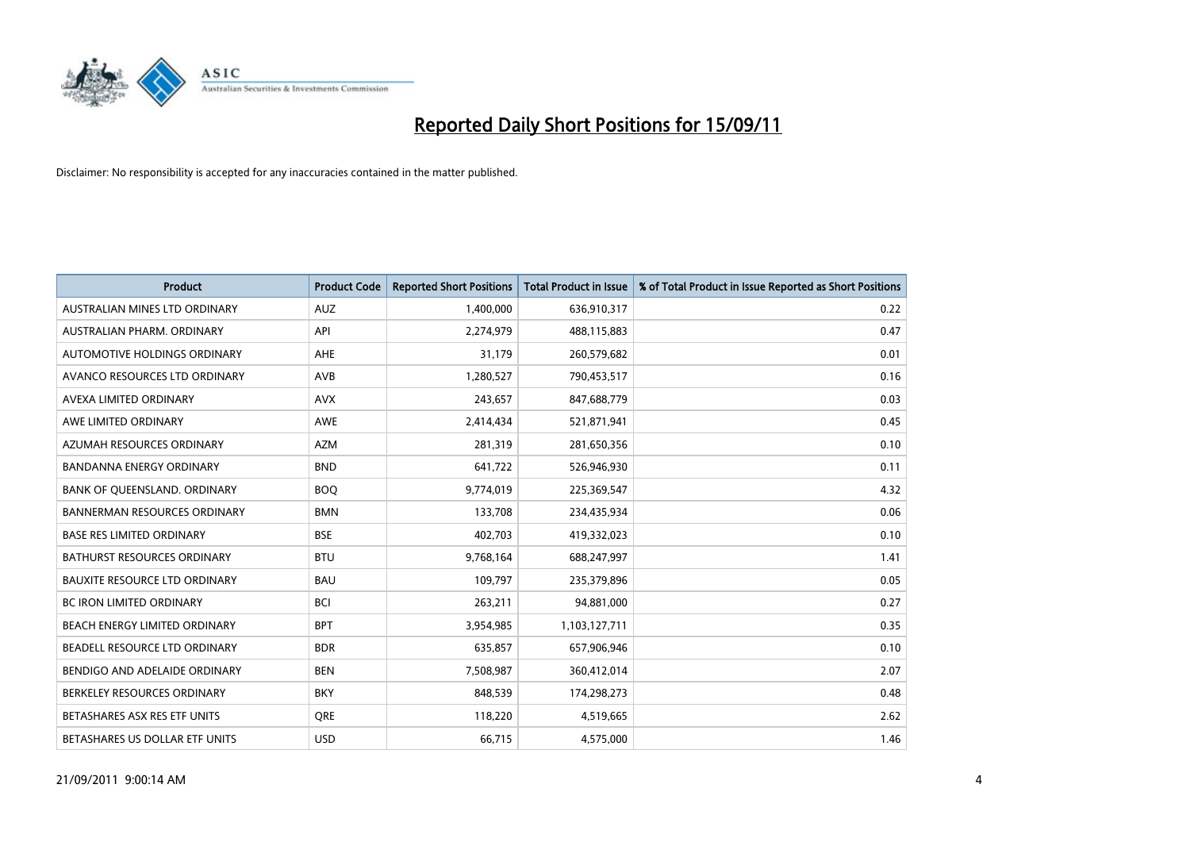

| <b>Product</b>                       | <b>Product Code</b> | <b>Reported Short Positions</b> | Total Product in Issue | % of Total Product in Issue Reported as Short Positions |
|--------------------------------------|---------------------|---------------------------------|------------------------|---------------------------------------------------------|
| AUSTRALIAN MINES LTD ORDINARY        | <b>AUZ</b>          | 1,400,000                       | 636,910,317            | 0.22                                                    |
| AUSTRALIAN PHARM. ORDINARY           | API                 | 2,274,979                       | 488,115,883            | 0.47                                                    |
| AUTOMOTIVE HOLDINGS ORDINARY         | AHE                 | 31,179                          | 260,579,682            | 0.01                                                    |
| AVANCO RESOURCES LTD ORDINARY        | <b>AVB</b>          | 1,280,527                       | 790,453,517            | 0.16                                                    |
| AVEXA LIMITED ORDINARY               | <b>AVX</b>          | 243,657                         | 847,688,779            | 0.03                                                    |
| AWE LIMITED ORDINARY                 | <b>AWE</b>          | 2,414,434                       | 521,871,941            | 0.45                                                    |
| AZUMAH RESOURCES ORDINARY            | <b>AZM</b>          | 281,319                         | 281,650,356            | 0.10                                                    |
| BANDANNA ENERGY ORDINARY             | <b>BND</b>          | 641,722                         | 526,946,930            | 0.11                                                    |
| BANK OF QUEENSLAND. ORDINARY         | <b>BOQ</b>          | 9,774,019                       | 225,369,547            | 4.32                                                    |
| <b>BANNERMAN RESOURCES ORDINARY</b>  | <b>BMN</b>          | 133,708                         | 234,435,934            | 0.06                                                    |
| <b>BASE RES LIMITED ORDINARY</b>     | <b>BSE</b>          | 402,703                         | 419,332,023            | 0.10                                                    |
| <b>BATHURST RESOURCES ORDINARY</b>   | <b>BTU</b>          | 9,768,164                       | 688,247,997            | 1.41                                                    |
| <b>BAUXITE RESOURCE LTD ORDINARY</b> | <b>BAU</b>          | 109,797                         | 235,379,896            | 0.05                                                    |
| <b>BC IRON LIMITED ORDINARY</b>      | <b>BCI</b>          | 263,211                         | 94,881,000             | 0.27                                                    |
| BEACH ENERGY LIMITED ORDINARY        | <b>BPT</b>          | 3,954,985                       | 1,103,127,711          | 0.35                                                    |
| BEADELL RESOURCE LTD ORDINARY        | <b>BDR</b>          | 635,857                         | 657,906,946            | 0.10                                                    |
| BENDIGO AND ADELAIDE ORDINARY        | <b>BEN</b>          | 7,508,987                       | 360,412,014            | 2.07                                                    |
| BERKELEY RESOURCES ORDINARY          | <b>BKY</b>          | 848,539                         | 174,298,273            | 0.48                                                    |
| BETASHARES ASX RES ETF UNITS         | <b>ORE</b>          | 118,220                         | 4,519,665              | 2.62                                                    |
| BETASHARES US DOLLAR ETF UNITS       | <b>USD</b>          | 66,715                          | 4,575,000              | 1.46                                                    |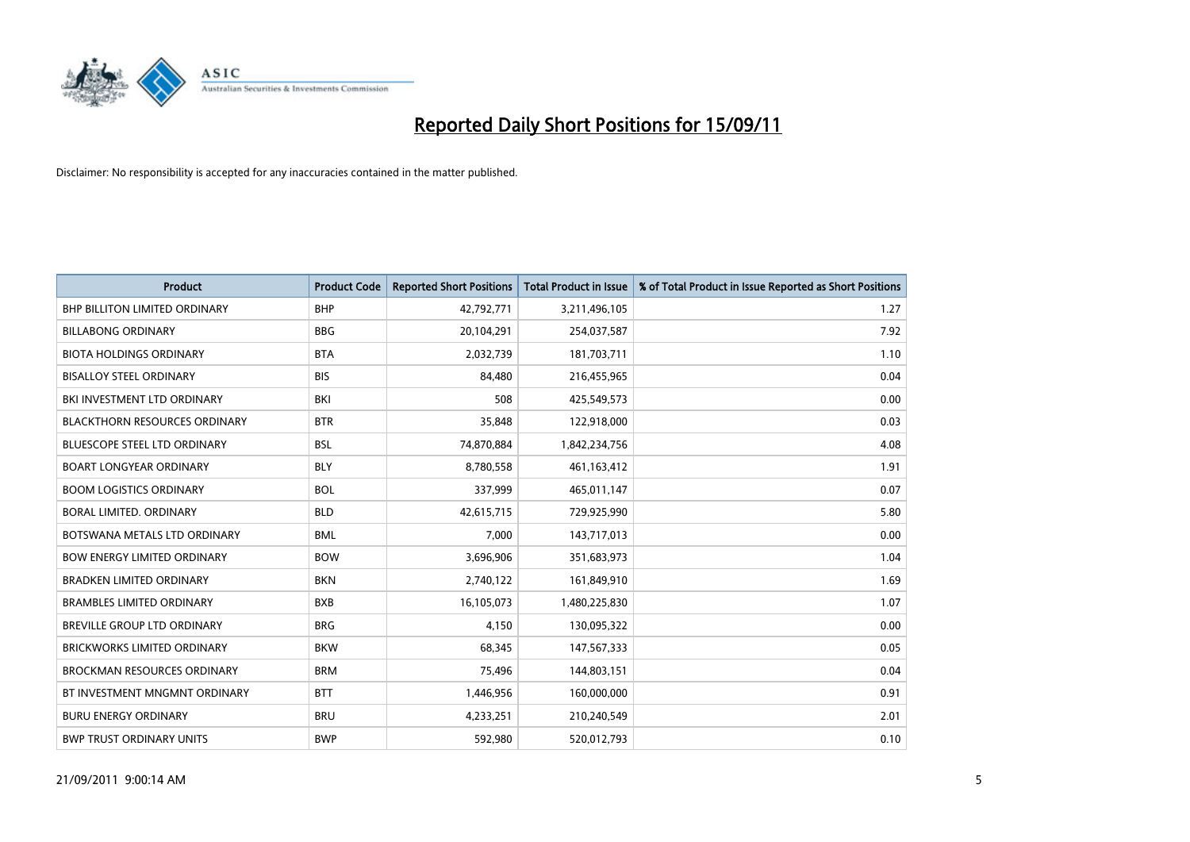

| <b>Product</b>                       | <b>Product Code</b> | <b>Reported Short Positions</b> | Total Product in Issue | % of Total Product in Issue Reported as Short Positions |
|--------------------------------------|---------------------|---------------------------------|------------------------|---------------------------------------------------------|
| <b>BHP BILLITON LIMITED ORDINARY</b> | <b>BHP</b>          | 42,792,771                      | 3,211,496,105          | 1.27                                                    |
| <b>BILLABONG ORDINARY</b>            | <b>BBG</b>          | 20,104,291                      | 254,037,587            | 7.92                                                    |
| <b>BIOTA HOLDINGS ORDINARY</b>       | <b>BTA</b>          | 2,032,739                       | 181,703,711            | 1.10                                                    |
| <b>BISALLOY STEEL ORDINARY</b>       | <b>BIS</b>          | 84,480                          | 216,455,965            | 0.04                                                    |
| BKI INVESTMENT LTD ORDINARY          | <b>BKI</b>          | 508                             | 425,549,573            | 0.00                                                    |
| <b>BLACKTHORN RESOURCES ORDINARY</b> | <b>BTR</b>          | 35,848                          | 122,918,000            | 0.03                                                    |
| <b>BLUESCOPE STEEL LTD ORDINARY</b>  | <b>BSL</b>          | 74,870,884                      | 1,842,234,756          | 4.08                                                    |
| <b>BOART LONGYEAR ORDINARY</b>       | <b>BLY</b>          | 8,780,558                       | 461, 163, 412          | 1.91                                                    |
| <b>BOOM LOGISTICS ORDINARY</b>       | <b>BOL</b>          | 337,999                         | 465,011,147            | 0.07                                                    |
| BORAL LIMITED, ORDINARY              | <b>BLD</b>          | 42,615,715                      | 729,925,990            | 5.80                                                    |
| BOTSWANA METALS LTD ORDINARY         | <b>BML</b>          | 7,000                           | 143,717,013            | 0.00                                                    |
| <b>BOW ENERGY LIMITED ORDINARY</b>   | <b>BOW</b>          | 3,696,906                       | 351,683,973            | 1.04                                                    |
| <b>BRADKEN LIMITED ORDINARY</b>      | <b>BKN</b>          | 2,740,122                       | 161,849,910            | 1.69                                                    |
| <b>BRAMBLES LIMITED ORDINARY</b>     | <b>BXB</b>          | 16,105,073                      | 1,480,225,830          | 1.07                                                    |
| <b>BREVILLE GROUP LTD ORDINARY</b>   | <b>BRG</b>          | 4,150                           | 130,095,322            | 0.00                                                    |
| <b>BRICKWORKS LIMITED ORDINARY</b>   | <b>BKW</b>          | 68,345                          | 147,567,333            | 0.05                                                    |
| <b>BROCKMAN RESOURCES ORDINARY</b>   | <b>BRM</b>          | 75,496                          | 144,803,151            | 0.04                                                    |
| BT INVESTMENT MNGMNT ORDINARY        | <b>BTT</b>          | 1,446,956                       | 160,000,000            | 0.91                                                    |
| <b>BURU ENERGY ORDINARY</b>          | <b>BRU</b>          | 4,233,251                       | 210,240,549            | 2.01                                                    |
| <b>BWP TRUST ORDINARY UNITS</b>      | <b>BWP</b>          | 592,980                         | 520,012,793            | 0.10                                                    |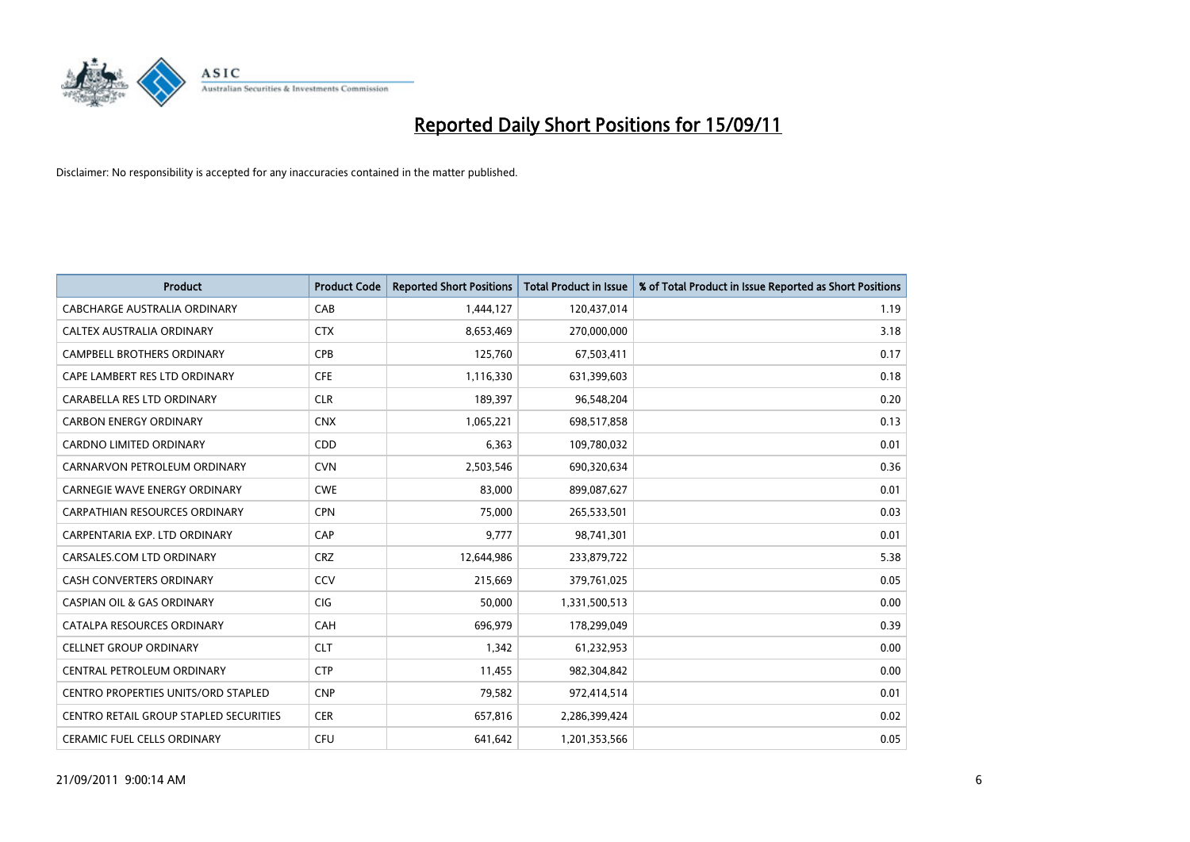

| <b>Product</b>                                | <b>Product Code</b> | <b>Reported Short Positions</b> | <b>Total Product in Issue</b> | % of Total Product in Issue Reported as Short Positions |
|-----------------------------------------------|---------------------|---------------------------------|-------------------------------|---------------------------------------------------------|
| CABCHARGE AUSTRALIA ORDINARY                  | CAB                 | 1,444,127                       | 120,437,014                   | 1.19                                                    |
| CALTEX AUSTRALIA ORDINARY                     | <b>CTX</b>          | 8,653,469                       | 270,000,000                   | 3.18                                                    |
| <b>CAMPBELL BROTHERS ORDINARY</b>             | <b>CPB</b>          | 125,760                         | 67,503,411                    | 0.17                                                    |
| CAPE LAMBERT RES LTD ORDINARY                 | <b>CFE</b>          | 1,116,330                       | 631,399,603                   | 0.18                                                    |
| CARABELLA RES LTD ORDINARY                    | <b>CLR</b>          | 189,397                         | 96,548,204                    | 0.20                                                    |
| <b>CARBON ENERGY ORDINARY</b>                 | <b>CNX</b>          | 1,065,221                       | 698,517,858                   | 0.13                                                    |
| <b>CARDNO LIMITED ORDINARY</b>                | CDD                 | 6,363                           | 109,780,032                   | 0.01                                                    |
| CARNARVON PETROLEUM ORDINARY                  | <b>CVN</b>          | 2,503,546                       | 690,320,634                   | 0.36                                                    |
| CARNEGIE WAVE ENERGY ORDINARY                 | <b>CWE</b>          | 83,000                          | 899,087,627                   | 0.01                                                    |
| <b>CARPATHIAN RESOURCES ORDINARY</b>          | <b>CPN</b>          | 75,000                          | 265,533,501                   | 0.03                                                    |
| CARPENTARIA EXP. LTD ORDINARY                 | CAP                 | 9,777                           | 98,741,301                    | 0.01                                                    |
| CARSALES.COM LTD ORDINARY                     | <b>CRZ</b>          | 12,644,986                      | 233,879,722                   | 5.38                                                    |
| <b>CASH CONVERTERS ORDINARY</b>               | CCV                 | 215,669                         | 379,761,025                   | 0.05                                                    |
| <b>CASPIAN OIL &amp; GAS ORDINARY</b>         | <b>CIG</b>          | 50,000                          | 1,331,500,513                 | 0.00                                                    |
| CATALPA RESOURCES ORDINARY                    | CAH                 | 696,979                         | 178,299,049                   | 0.39                                                    |
| <b>CELLNET GROUP ORDINARY</b>                 | <b>CLT</b>          | 1,342                           | 61,232,953                    | 0.00                                                    |
| CENTRAL PETROLEUM ORDINARY                    | <b>CTP</b>          | 11,455                          | 982,304,842                   | 0.00                                                    |
| <b>CENTRO PROPERTIES UNITS/ORD STAPLED</b>    | <b>CNP</b>          | 79,582                          | 972,414,514                   | 0.01                                                    |
| <b>CENTRO RETAIL GROUP STAPLED SECURITIES</b> | <b>CER</b>          | 657,816                         | 2,286,399,424                 | 0.02                                                    |
| <b>CERAMIC FUEL CELLS ORDINARY</b>            | <b>CFU</b>          | 641.642                         | 1,201,353,566                 | 0.05                                                    |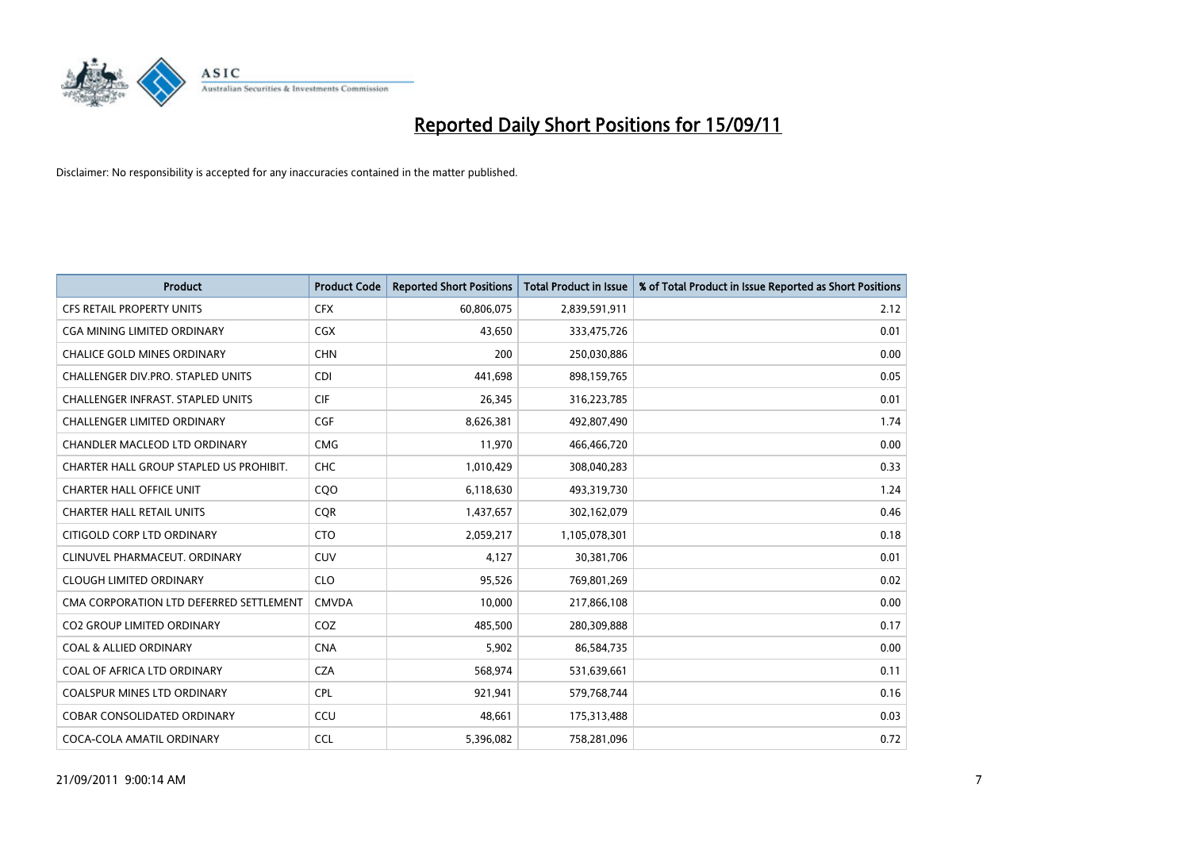

| <b>Product</b>                           | <b>Product Code</b> | <b>Reported Short Positions</b> | Total Product in Issue | % of Total Product in Issue Reported as Short Positions |
|------------------------------------------|---------------------|---------------------------------|------------------------|---------------------------------------------------------|
| <b>CFS RETAIL PROPERTY UNITS</b>         | <b>CFX</b>          | 60,806,075                      | 2,839,591,911          | 2.12                                                    |
| CGA MINING LIMITED ORDINARY              | <b>CGX</b>          | 43,650                          | 333,475,726            | 0.01                                                    |
| <b>CHALICE GOLD MINES ORDINARY</b>       | <b>CHN</b>          | 200                             | 250,030,886            | 0.00                                                    |
| CHALLENGER DIV.PRO. STAPLED UNITS        | <b>CDI</b>          | 441,698                         | 898,159,765            | 0.05                                                    |
| <b>CHALLENGER INFRAST, STAPLED UNITS</b> | <b>CIF</b>          | 26,345                          | 316,223,785            | 0.01                                                    |
| <b>CHALLENGER LIMITED ORDINARY</b>       | <b>CGF</b>          | 8,626,381                       | 492,807,490            | 1.74                                                    |
| CHANDLER MACLEOD LTD ORDINARY            | <b>CMG</b>          | 11,970                          | 466,466,720            | 0.00                                                    |
| CHARTER HALL GROUP STAPLED US PROHIBIT.  | <b>CHC</b>          | 1,010,429                       | 308,040,283            | 0.33                                                    |
| <b>CHARTER HALL OFFICE UNIT</b>          | CQ <sub>O</sub>     | 6,118,630                       | 493,319,730            | 1.24                                                    |
| <b>CHARTER HALL RETAIL UNITS</b>         | <b>COR</b>          | 1,437,657                       | 302,162,079            | 0.46                                                    |
| CITIGOLD CORP LTD ORDINARY               | <b>CTO</b>          | 2,059,217                       | 1,105,078,301          | 0.18                                                    |
| CLINUVEL PHARMACEUT. ORDINARY            | <b>CUV</b>          | 4,127                           | 30,381,706             | 0.01                                                    |
| <b>CLOUGH LIMITED ORDINARY</b>           | <b>CLO</b>          | 95,526                          | 769,801,269            | 0.02                                                    |
| CMA CORPORATION LTD DEFERRED SETTLEMENT  | <b>CMVDA</b>        | 10.000                          | 217,866,108            | 0.00                                                    |
| <b>CO2 GROUP LIMITED ORDINARY</b>        | COZ                 | 485,500                         | 280,309,888            | 0.17                                                    |
| <b>COAL &amp; ALLIED ORDINARY</b>        | <b>CNA</b>          | 5.902                           | 86,584,735             | 0.00                                                    |
| COAL OF AFRICA LTD ORDINARY              | <b>CZA</b>          | 568,974                         | 531,639,661            | 0.11                                                    |
| <b>COALSPUR MINES LTD ORDINARY</b>       | <b>CPL</b>          | 921,941                         | 579,768,744            | 0.16                                                    |
| <b>COBAR CONSOLIDATED ORDINARY</b>       | CCU                 | 48,661                          | 175,313,488            | 0.03                                                    |
| COCA-COLA AMATIL ORDINARY                | <b>CCL</b>          | 5,396,082                       | 758,281,096            | 0.72                                                    |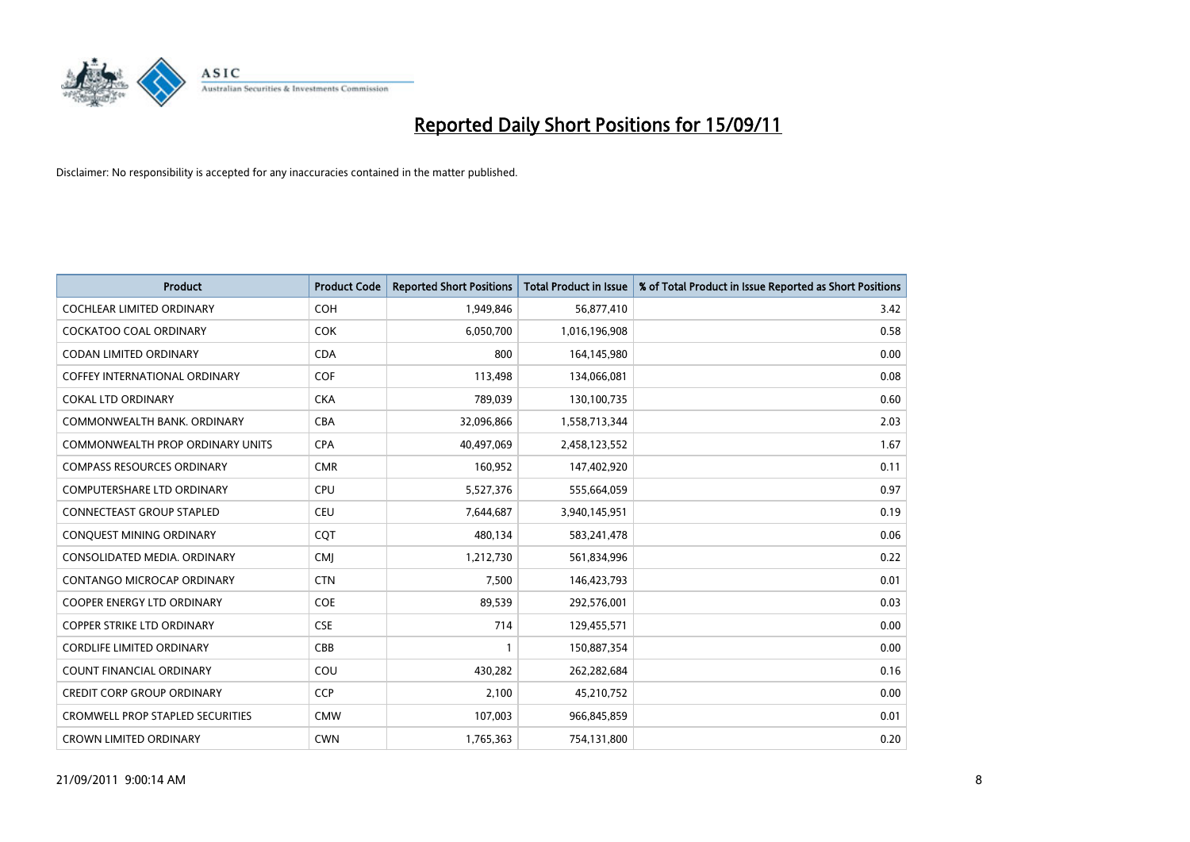

| <b>Product</b>                          | <b>Product Code</b> | <b>Reported Short Positions</b> | Total Product in Issue | % of Total Product in Issue Reported as Short Positions |
|-----------------------------------------|---------------------|---------------------------------|------------------------|---------------------------------------------------------|
| <b>COCHLEAR LIMITED ORDINARY</b>        | <b>COH</b>          | 1,949,846                       | 56,877,410             | 3.42                                                    |
| <b>COCKATOO COAL ORDINARY</b>           | <b>COK</b>          | 6,050,700                       | 1,016,196,908          | 0.58                                                    |
| <b>CODAN LIMITED ORDINARY</b>           | <b>CDA</b>          | 800                             | 164,145,980            | 0.00                                                    |
| COFFEY INTERNATIONAL ORDINARY           | <b>COF</b>          | 113,498                         | 134,066,081            | 0.08                                                    |
| <b>COKAL LTD ORDINARY</b>               | <b>CKA</b>          | 789.039                         | 130,100,735            | 0.60                                                    |
| COMMONWEALTH BANK, ORDINARY             | <b>CBA</b>          | 32,096,866                      | 1,558,713,344          | 2.03                                                    |
| <b>COMMONWEALTH PROP ORDINARY UNITS</b> | <b>CPA</b>          | 40,497,069                      | 2,458,123,552          | 1.67                                                    |
| <b>COMPASS RESOURCES ORDINARY</b>       | <b>CMR</b>          | 160,952                         | 147,402,920            | 0.11                                                    |
| <b>COMPUTERSHARE LTD ORDINARY</b>       | <b>CPU</b>          | 5,527,376                       | 555,664,059            | 0.97                                                    |
| <b>CONNECTEAST GROUP STAPLED</b>        | <b>CEU</b>          | 7,644,687                       | 3,940,145,951          | 0.19                                                    |
| CONQUEST MINING ORDINARY                | COT                 | 480,134                         | 583,241,478            | 0.06                                                    |
| CONSOLIDATED MEDIA, ORDINARY            | <b>CMI</b>          | 1,212,730                       | 561,834,996            | 0.22                                                    |
| CONTANGO MICROCAP ORDINARY              | <b>CTN</b>          | 7.500                           | 146,423,793            | 0.01                                                    |
| <b>COOPER ENERGY LTD ORDINARY</b>       | <b>COE</b>          | 89,539                          | 292,576,001            | 0.03                                                    |
| <b>COPPER STRIKE LTD ORDINARY</b>       | <b>CSE</b>          | 714                             | 129,455,571            | 0.00                                                    |
| <b>CORDLIFE LIMITED ORDINARY</b>        | CBB                 |                                 | 150,887,354            | 0.00                                                    |
| <b>COUNT FINANCIAL ORDINARY</b>         | COU                 | 430,282                         | 262,282,684            | 0.16                                                    |
| <b>CREDIT CORP GROUP ORDINARY</b>       | <b>CCP</b>          | 2,100                           | 45,210,752             | 0.00                                                    |
| <b>CROMWELL PROP STAPLED SECURITIES</b> | <b>CMW</b>          | 107,003                         | 966,845,859            | 0.01                                                    |
| <b>CROWN LIMITED ORDINARY</b>           | <b>CWN</b>          | 1,765,363                       | 754,131,800            | 0.20                                                    |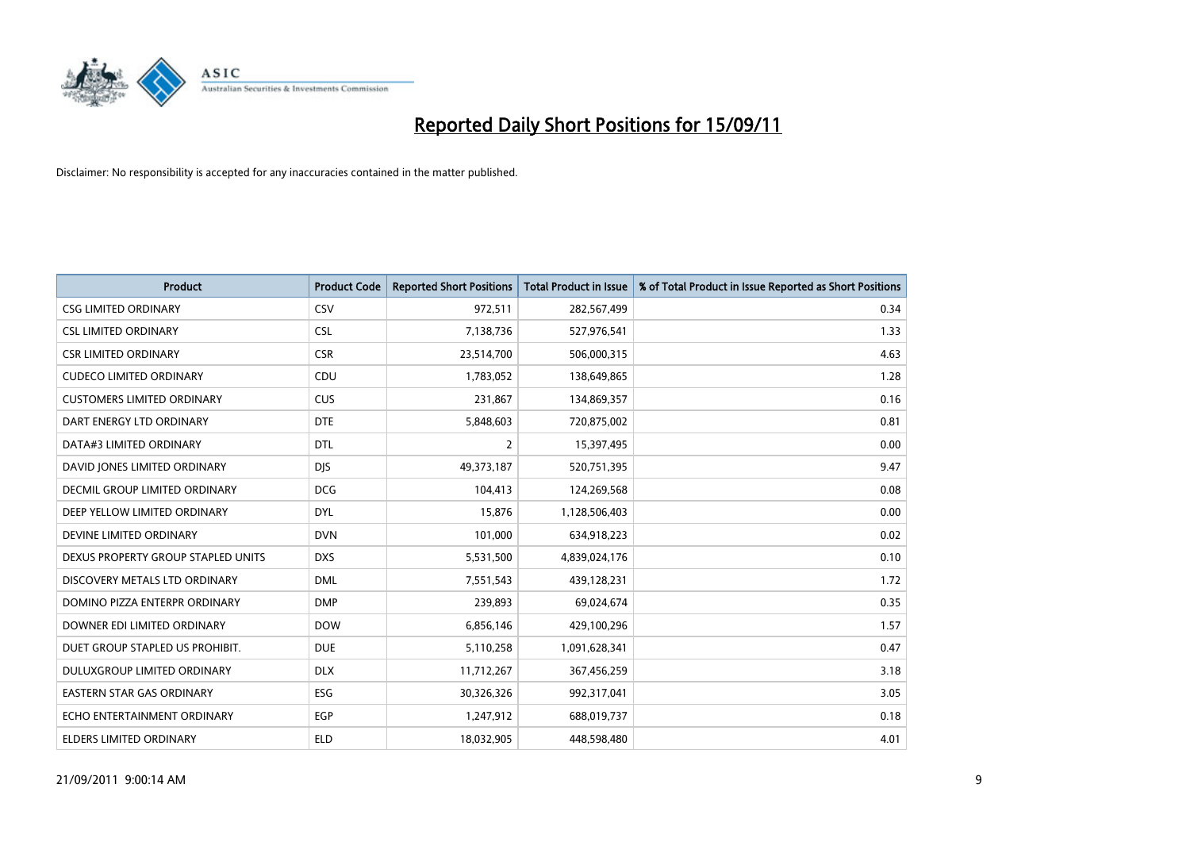

| <b>Product</b>                     | <b>Product Code</b> | <b>Reported Short Positions</b> | Total Product in Issue | % of Total Product in Issue Reported as Short Positions |
|------------------------------------|---------------------|---------------------------------|------------------------|---------------------------------------------------------|
| <b>CSG LIMITED ORDINARY</b>        | CSV                 | 972,511                         | 282,567,499            | 0.34                                                    |
| <b>CSL LIMITED ORDINARY</b>        | <b>CSL</b>          | 7,138,736                       | 527,976,541            | 1.33                                                    |
| <b>CSR LIMITED ORDINARY</b>        | <b>CSR</b>          | 23,514,700                      | 506,000,315            | 4.63                                                    |
| <b>CUDECO LIMITED ORDINARY</b>     | CDU                 | 1,783,052                       | 138,649,865            | 1.28                                                    |
| <b>CUSTOMERS LIMITED ORDINARY</b>  | <b>CUS</b>          | 231,867                         | 134,869,357            | 0.16                                                    |
| DART ENERGY LTD ORDINARY           | <b>DTE</b>          | 5,848,603                       | 720,875,002            | 0.81                                                    |
| DATA#3 LIMITED ORDINARY            | <b>DTL</b>          | 2                               | 15,397,495             | 0.00                                                    |
| DAVID JONES LIMITED ORDINARY       | <b>DJS</b>          | 49,373,187                      | 520,751,395            | 9.47                                                    |
| DECMIL GROUP LIMITED ORDINARY      | <b>DCG</b>          | 104,413                         | 124,269,568            | 0.08                                                    |
| DEEP YELLOW LIMITED ORDINARY       | <b>DYL</b>          | 15,876                          | 1,128,506,403          | 0.00                                                    |
| DEVINE LIMITED ORDINARY            | <b>DVN</b>          | 101,000                         | 634,918,223            | 0.02                                                    |
| DEXUS PROPERTY GROUP STAPLED UNITS | <b>DXS</b>          | 5,531,500                       | 4,839,024,176          | 0.10                                                    |
| DISCOVERY METALS LTD ORDINARY      | <b>DML</b>          | 7,551,543                       | 439,128,231            | 1.72                                                    |
| DOMINO PIZZA ENTERPR ORDINARY      | <b>DMP</b>          | 239,893                         | 69,024,674             | 0.35                                                    |
| DOWNER EDI LIMITED ORDINARY        | <b>DOW</b>          | 6,856,146                       | 429,100,296            | 1.57                                                    |
| DUET GROUP STAPLED US PROHIBIT.    | <b>DUE</b>          | 5,110,258                       | 1,091,628,341          | 0.47                                                    |
| <b>DULUXGROUP LIMITED ORDINARY</b> | <b>DLX</b>          | 11,712,267                      | 367,456,259            | 3.18                                                    |
| EASTERN STAR GAS ORDINARY          | ESG                 | 30,326,326                      | 992,317,041            | 3.05                                                    |
| ECHO ENTERTAINMENT ORDINARY        | <b>EGP</b>          | 1,247,912                       | 688,019,737            | 0.18                                                    |
| ELDERS LIMITED ORDINARY            | <b>ELD</b>          | 18,032,905                      | 448,598,480            | 4.01                                                    |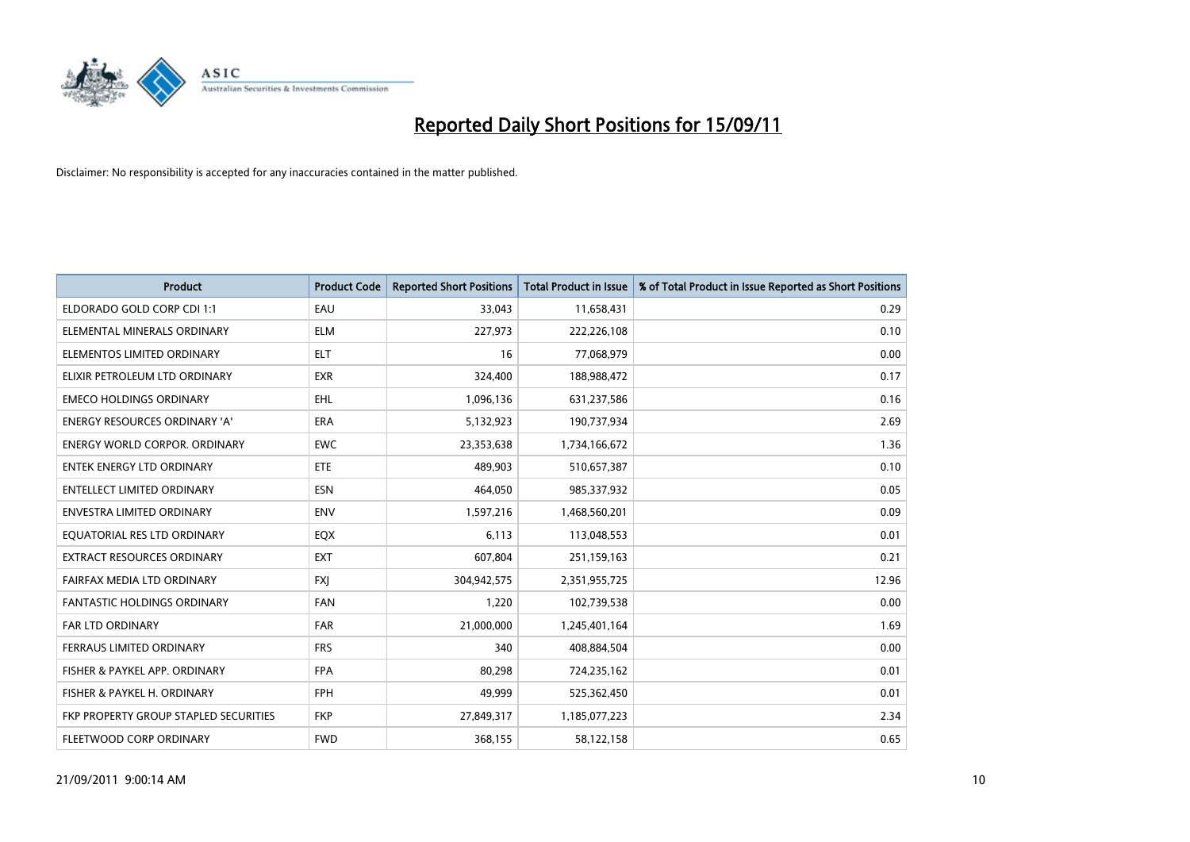

| <b>Product</b>                        | <b>Product Code</b> | <b>Reported Short Positions</b> | <b>Total Product in Issue</b> | % of Total Product in Issue Reported as Short Positions |
|---------------------------------------|---------------------|---------------------------------|-------------------------------|---------------------------------------------------------|
| ELDORADO GOLD CORP CDI 1:1            | EAU                 | 33.043                          | 11,658,431                    | 0.29                                                    |
| ELEMENTAL MINERALS ORDINARY           | <b>ELM</b>          | 227,973                         | 222,226,108                   | 0.10                                                    |
| ELEMENTOS LIMITED ORDINARY            | <b>ELT</b>          | 16                              | 77,068,979                    | 0.00                                                    |
| ELIXIR PETROLEUM LTD ORDINARY         | <b>EXR</b>          | 324,400                         | 188,988,472                   | 0.17                                                    |
| <b>EMECO HOLDINGS ORDINARY</b>        | <b>EHL</b>          | 1,096,136                       | 631,237,586                   | 0.16                                                    |
| <b>ENERGY RESOURCES ORDINARY 'A'</b>  | <b>ERA</b>          | 5,132,923                       | 190,737,934                   | 2.69                                                    |
| ENERGY WORLD CORPOR. ORDINARY         | <b>EWC</b>          | 23,353,638                      | 1,734,166,672                 | 1.36                                                    |
| <b>ENTEK ENERGY LTD ORDINARY</b>      | <b>ETE</b>          | 489.903                         | 510,657,387                   | 0.10                                                    |
| <b>ENTELLECT LIMITED ORDINARY</b>     | <b>ESN</b>          | 464,050                         | 985,337,932                   | 0.05                                                    |
| <b>ENVESTRA LIMITED ORDINARY</b>      | <b>ENV</b>          | 1,597,216                       | 1,468,560,201                 | 0.09                                                    |
| EQUATORIAL RES LTD ORDINARY           | EQX                 | 6,113                           | 113,048,553                   | 0.01                                                    |
| EXTRACT RESOURCES ORDINARY            | <b>EXT</b>          | 607,804                         | 251,159,163                   | 0.21                                                    |
| FAIRFAX MEDIA LTD ORDINARY            | <b>FXJ</b>          | 304,942,575                     | 2,351,955,725                 | 12.96                                                   |
| <b>FANTASTIC HOLDINGS ORDINARY</b>    | <b>FAN</b>          | 1,220                           | 102,739,538                   | 0.00                                                    |
| <b>FAR LTD ORDINARY</b>               | <b>FAR</b>          | 21,000,000                      | 1,245,401,164                 | 1.69                                                    |
| FERRAUS LIMITED ORDINARY              | <b>FRS</b>          | 340                             | 408,884,504                   | 0.00                                                    |
| FISHER & PAYKEL APP. ORDINARY         | <b>FPA</b>          | 80,298                          | 724,235,162                   | 0.01                                                    |
| FISHER & PAYKEL H. ORDINARY           | <b>FPH</b>          | 49,999                          | 525,362,450                   | 0.01                                                    |
| FKP PROPERTY GROUP STAPLED SECURITIES | <b>FKP</b>          | 27,849,317                      | 1,185,077,223                 | 2.34                                                    |
| FLEETWOOD CORP ORDINARY               | <b>FWD</b>          | 368,155                         | 58,122,158                    | 0.65                                                    |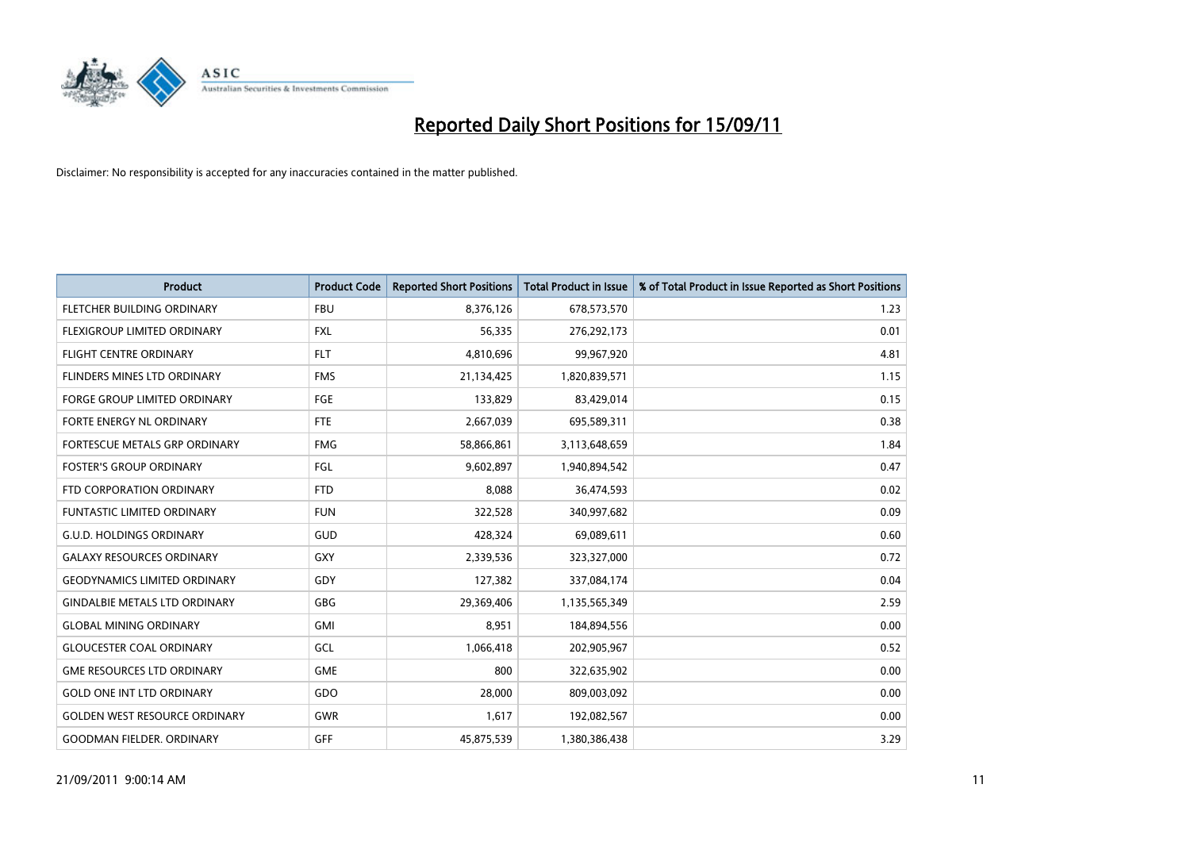

| <b>Product</b>                       | <b>Product Code</b> | <b>Reported Short Positions</b> | Total Product in Issue | % of Total Product in Issue Reported as Short Positions |
|--------------------------------------|---------------------|---------------------------------|------------------------|---------------------------------------------------------|
| FLETCHER BUILDING ORDINARY           | <b>FBU</b>          | 8,376,126                       | 678,573,570            | 1.23                                                    |
| FLEXIGROUP LIMITED ORDINARY          | <b>FXL</b>          | 56,335                          | 276,292,173            | 0.01                                                    |
| <b>FLIGHT CENTRE ORDINARY</b>        | <b>FLT</b>          | 4,810,696                       | 99,967,920             | 4.81                                                    |
| FLINDERS MINES LTD ORDINARY          | <b>FMS</b>          | 21,134,425                      | 1,820,839,571          | 1.15                                                    |
| <b>FORGE GROUP LIMITED ORDINARY</b>  | FGE                 | 133,829                         | 83,429,014             | 0.15                                                    |
| FORTE ENERGY NL ORDINARY             | <b>FTE</b>          | 2,667,039                       | 695,589,311            | 0.38                                                    |
| FORTESCUE METALS GRP ORDINARY        | <b>FMG</b>          | 58,866,861                      | 3,113,648,659          | 1.84                                                    |
| <b>FOSTER'S GROUP ORDINARY</b>       | FGL                 | 9,602,897                       | 1,940,894,542          | 0.47                                                    |
| FTD CORPORATION ORDINARY             | <b>FTD</b>          | 8,088                           | 36,474,593             | 0.02                                                    |
| <b>FUNTASTIC LIMITED ORDINARY</b>    | <b>FUN</b>          | 322,528                         | 340,997,682            | 0.09                                                    |
| <b>G.U.D. HOLDINGS ORDINARY</b>      | GUD                 | 428,324                         | 69,089,611             | 0.60                                                    |
| <b>GALAXY RESOURCES ORDINARY</b>     | GXY                 | 2,339,536                       | 323,327,000            | 0.72                                                    |
| <b>GEODYNAMICS LIMITED ORDINARY</b>  | GDY                 | 127,382                         | 337,084,174            | 0.04                                                    |
| <b>GINDALBIE METALS LTD ORDINARY</b> | <b>GBG</b>          | 29,369,406                      | 1,135,565,349          | 2.59                                                    |
| <b>GLOBAL MINING ORDINARY</b>        | <b>GMI</b>          | 8,951                           | 184,894,556            | 0.00                                                    |
| <b>GLOUCESTER COAL ORDINARY</b>      | GCL                 | 1,066,418                       | 202,905,967            | 0.52                                                    |
| <b>GME RESOURCES LTD ORDINARY</b>    | <b>GME</b>          | 800                             | 322,635,902            | 0.00                                                    |
| <b>GOLD ONE INT LTD ORDINARY</b>     | GDO                 | 28,000                          | 809,003,092            | 0.00                                                    |
| <b>GOLDEN WEST RESOURCE ORDINARY</b> | <b>GWR</b>          | 1,617                           | 192,082,567            | 0.00                                                    |
| <b>GOODMAN FIELDER. ORDINARY</b>     | GFF                 | 45,875,539                      | 1,380,386,438          | 3.29                                                    |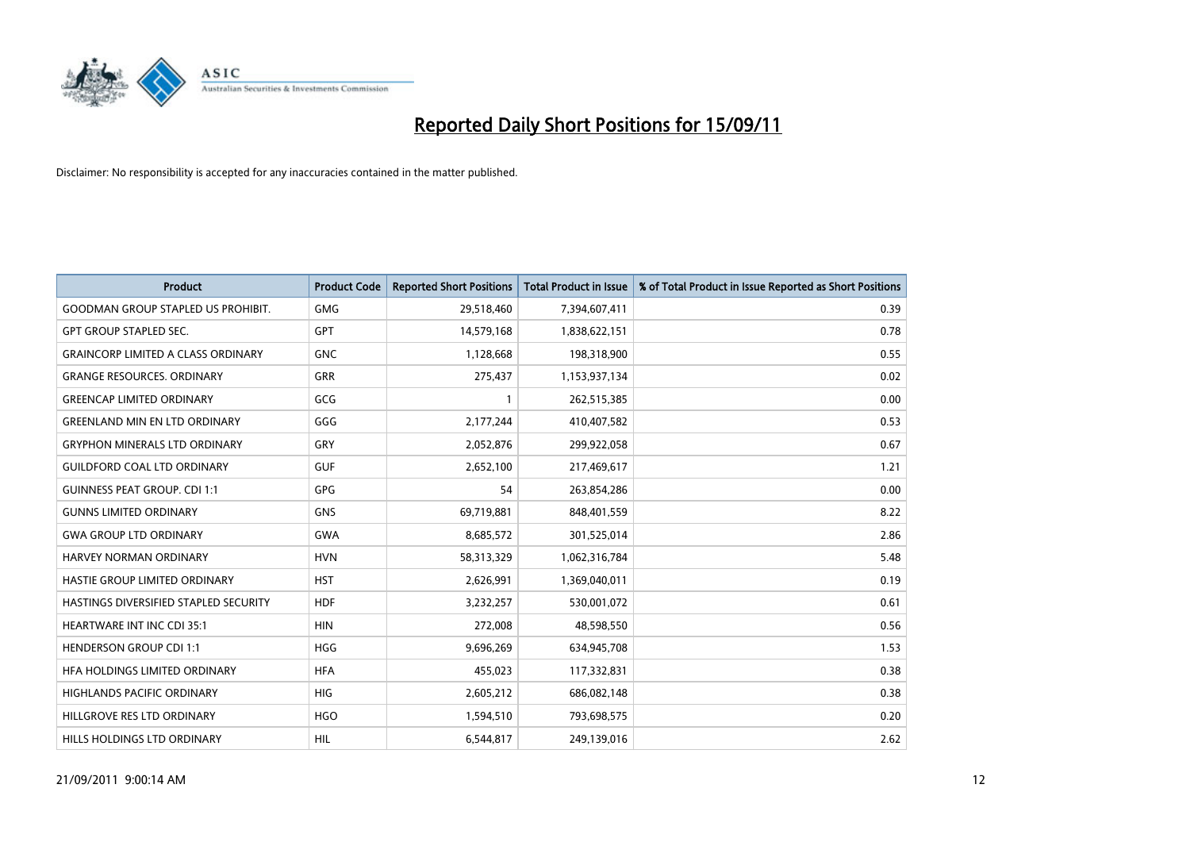

| <b>Product</b>                            | <b>Product Code</b> | <b>Reported Short Positions</b> | <b>Total Product in Issue</b> | % of Total Product in Issue Reported as Short Positions |
|-------------------------------------------|---------------------|---------------------------------|-------------------------------|---------------------------------------------------------|
| <b>GOODMAN GROUP STAPLED US PROHIBIT.</b> | <b>GMG</b>          | 29,518,460                      | 7,394,607,411                 | 0.39                                                    |
| <b>GPT GROUP STAPLED SEC.</b>             | <b>GPT</b>          | 14,579,168                      | 1,838,622,151                 | 0.78                                                    |
| <b>GRAINCORP LIMITED A CLASS ORDINARY</b> | <b>GNC</b>          | 1,128,668                       | 198,318,900                   | 0.55                                                    |
| <b>GRANGE RESOURCES. ORDINARY</b>         | <b>GRR</b>          | 275,437                         | 1,153,937,134                 | 0.02                                                    |
| <b>GREENCAP LIMITED ORDINARY</b>          | GCG                 |                                 | 262,515,385                   | 0.00                                                    |
| <b>GREENLAND MIN EN LTD ORDINARY</b>      | GGG                 | 2,177,244                       | 410,407,582                   | 0.53                                                    |
| <b>GRYPHON MINERALS LTD ORDINARY</b>      | GRY                 | 2,052,876                       | 299,922,058                   | 0.67                                                    |
| <b>GUILDFORD COAL LTD ORDINARY</b>        | <b>GUF</b>          | 2,652,100                       | 217,469,617                   | 1.21                                                    |
| <b>GUINNESS PEAT GROUP. CDI 1:1</b>       | <b>GPG</b>          | 54                              | 263,854,286                   | 0.00                                                    |
| <b>GUNNS LIMITED ORDINARY</b>             | <b>GNS</b>          | 69,719,881                      | 848,401,559                   | 8.22                                                    |
| <b>GWA GROUP LTD ORDINARY</b>             | <b>GWA</b>          | 8,685,572                       | 301,525,014                   | 2.86                                                    |
| <b>HARVEY NORMAN ORDINARY</b>             | <b>HVN</b>          | 58,313,329                      | 1,062,316,784                 | 5.48                                                    |
| HASTIE GROUP LIMITED ORDINARY             | <b>HST</b>          | 2,626,991                       | 1,369,040,011                 | 0.19                                                    |
| HASTINGS DIVERSIFIED STAPLED SECURITY     | <b>HDF</b>          | 3,232,257                       | 530,001,072                   | 0.61                                                    |
| <b>HEARTWARE INT INC CDI 35:1</b>         | <b>HIN</b>          | 272,008                         | 48,598,550                    | 0.56                                                    |
| <b>HENDERSON GROUP CDI 1:1</b>            | <b>HGG</b>          | 9,696,269                       | 634,945,708                   | 1.53                                                    |
| HFA HOLDINGS LIMITED ORDINARY             | <b>HFA</b>          | 455,023                         | 117,332,831                   | 0.38                                                    |
| HIGHLANDS PACIFIC ORDINARY                | <b>HIG</b>          | 2,605,212                       | 686,082,148                   | 0.38                                                    |
| HILLGROVE RES LTD ORDINARY                | <b>HGO</b>          | 1,594,510                       | 793,698,575                   | 0.20                                                    |
| HILLS HOLDINGS LTD ORDINARY               | <b>HIL</b>          | 6,544,817                       | 249,139,016                   | 2.62                                                    |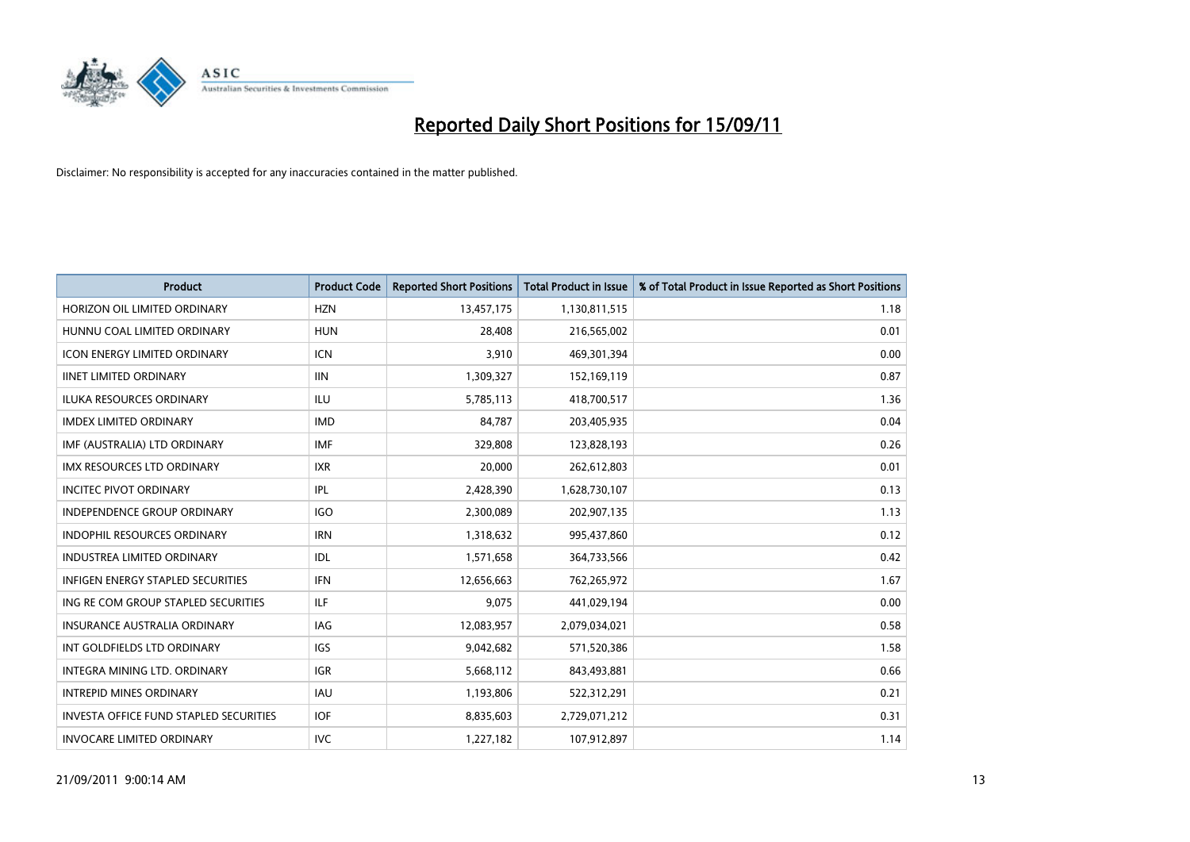

| <b>Product</b>                                | <b>Product Code</b> | <b>Reported Short Positions</b> | <b>Total Product in Issue</b> | % of Total Product in Issue Reported as Short Positions |
|-----------------------------------------------|---------------------|---------------------------------|-------------------------------|---------------------------------------------------------|
| HORIZON OIL LIMITED ORDINARY                  | <b>HZN</b>          | 13,457,175                      | 1,130,811,515                 | 1.18                                                    |
| HUNNU COAL LIMITED ORDINARY                   | <b>HUN</b>          | 28,408                          | 216,565,002                   | 0.01                                                    |
| <b>ICON ENERGY LIMITED ORDINARY</b>           | <b>ICN</b>          | 3,910                           | 469,301,394                   | 0.00                                                    |
| <b>IINET LIMITED ORDINARY</b>                 | <b>IIN</b>          | 1,309,327                       | 152,169,119                   | 0.87                                                    |
| <b>ILUKA RESOURCES ORDINARY</b>               | ILU                 | 5,785,113                       | 418,700,517                   | 1.36                                                    |
| <b>IMDEX LIMITED ORDINARY</b>                 | <b>IMD</b>          | 84,787                          | 203,405,935                   | 0.04                                                    |
| IMF (AUSTRALIA) LTD ORDINARY                  | <b>IMF</b>          | 329,808                         | 123,828,193                   | 0.26                                                    |
| IMX RESOURCES LTD ORDINARY                    | <b>IXR</b>          | 20,000                          | 262,612,803                   | 0.01                                                    |
| <b>INCITEC PIVOT ORDINARY</b>                 | IPL                 | 2,428,390                       | 1,628,730,107                 | 0.13                                                    |
| <b>INDEPENDENCE GROUP ORDINARY</b>            | <b>IGO</b>          | 2,300,089                       | 202,907,135                   | 1.13                                                    |
| INDOPHIL RESOURCES ORDINARY                   | <b>IRN</b>          | 1,318,632                       | 995,437,860                   | 0.12                                                    |
| INDUSTREA LIMITED ORDINARY                    | IDL                 | 1,571,658                       | 364,733,566                   | 0.42                                                    |
| <b>INFIGEN ENERGY STAPLED SECURITIES</b>      | <b>IFN</b>          | 12,656,663                      | 762,265,972                   | 1.67                                                    |
| ING RE COM GROUP STAPLED SECURITIES           | ILF                 | 9,075                           | 441,029,194                   | 0.00                                                    |
| INSURANCE AUSTRALIA ORDINARY                  | IAG                 | 12,083,957                      | 2,079,034,021                 | 0.58                                                    |
| INT GOLDFIELDS LTD ORDINARY                   | <b>IGS</b>          | 9,042,682                       | 571,520,386                   | 1.58                                                    |
| <b>INTEGRA MINING LTD, ORDINARY</b>           | <b>IGR</b>          | 5,668,112                       | 843,493,881                   | 0.66                                                    |
| <b>INTREPID MINES ORDINARY</b>                | <b>IAU</b>          | 1,193,806                       | 522,312,291                   | 0.21                                                    |
| <b>INVESTA OFFICE FUND STAPLED SECURITIES</b> | <b>IOF</b>          | 8,835,603                       | 2,729,071,212                 | 0.31                                                    |
| <b>INVOCARE LIMITED ORDINARY</b>              | <b>IVC</b>          | 1,227,182                       | 107,912,897                   | 1.14                                                    |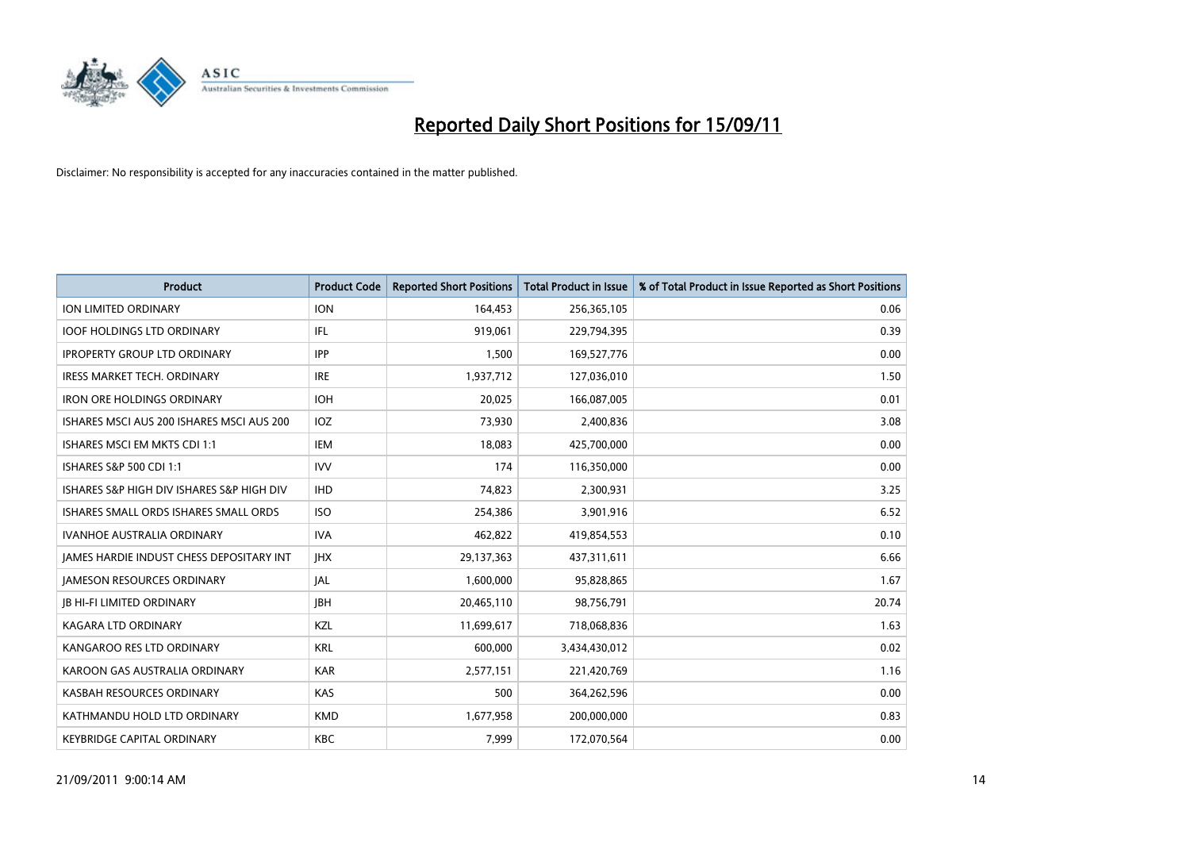

| <b>Product</b>                            | <b>Product Code</b> | <b>Reported Short Positions</b> | Total Product in Issue | % of Total Product in Issue Reported as Short Positions |
|-------------------------------------------|---------------------|---------------------------------|------------------------|---------------------------------------------------------|
| <b>ION LIMITED ORDINARY</b>               | <b>ION</b>          | 164,453                         | 256,365,105            | 0.06                                                    |
| <b>IOOF HOLDINGS LTD ORDINARY</b>         | IFL                 | 919,061                         | 229,794,395            | 0.39                                                    |
| <b>IPROPERTY GROUP LTD ORDINARY</b>       | <b>IPP</b>          | 1.500                           | 169,527,776            | 0.00                                                    |
| IRESS MARKET TECH. ORDINARY               | <b>IRE</b>          | 1,937,712                       | 127,036,010            | 1.50                                                    |
| <b>IRON ORE HOLDINGS ORDINARY</b>         | <b>IOH</b>          | 20,025                          | 166,087,005            | 0.01                                                    |
| ISHARES MSCI AUS 200 ISHARES MSCI AUS 200 | IOZ                 | 73,930                          | 2,400,836              | 3.08                                                    |
| ISHARES MSCI EM MKTS CDI 1:1              | <b>IEM</b>          | 18,083                          | 425,700,000            | 0.00                                                    |
| ISHARES S&P 500 CDI 1:1                   | <b>IVV</b>          | 174                             | 116,350,000            | 0.00                                                    |
| ISHARES S&P HIGH DIV ISHARES S&P HIGH DIV | <b>IHD</b>          | 74,823                          | 2,300,931              | 3.25                                                    |
| ISHARES SMALL ORDS ISHARES SMALL ORDS     | <b>ISO</b>          | 254,386                         | 3,901,916              | 6.52                                                    |
| IVANHOE AUSTRALIA ORDINARY                | <b>IVA</b>          | 462,822                         | 419,854,553            | 0.10                                                    |
| JAMES HARDIE INDUST CHESS DEPOSITARY INT  | <b>IHX</b>          | 29,137,363                      | 437,311,611            | 6.66                                                    |
| <b>JAMESON RESOURCES ORDINARY</b>         | JAL                 | 1,600,000                       | 95,828,865             | 1.67                                                    |
| <b>JB HI-FI LIMITED ORDINARY</b>          | <b>IBH</b>          | 20,465,110                      | 98,756,791             | 20.74                                                   |
| <b>KAGARA LTD ORDINARY</b>                | KZL                 | 11,699,617                      | 718,068,836            | 1.63                                                    |
| KANGAROO RES LTD ORDINARY                 | <b>KRL</b>          | 600,000                         | 3,434,430,012          | 0.02                                                    |
| KAROON GAS AUSTRALIA ORDINARY             | <b>KAR</b>          | 2,577,151                       | 221,420,769            | 1.16                                                    |
| KASBAH RESOURCES ORDINARY                 | KAS                 | 500                             | 364,262,596            | 0.00                                                    |
| KATHMANDU HOLD LTD ORDINARY               | <b>KMD</b>          | 1,677,958                       | 200,000,000            | 0.83                                                    |
| <b>KEYBRIDGE CAPITAL ORDINARY</b>         | <b>KBC</b>          | 7,999                           | 172,070,564            | 0.00                                                    |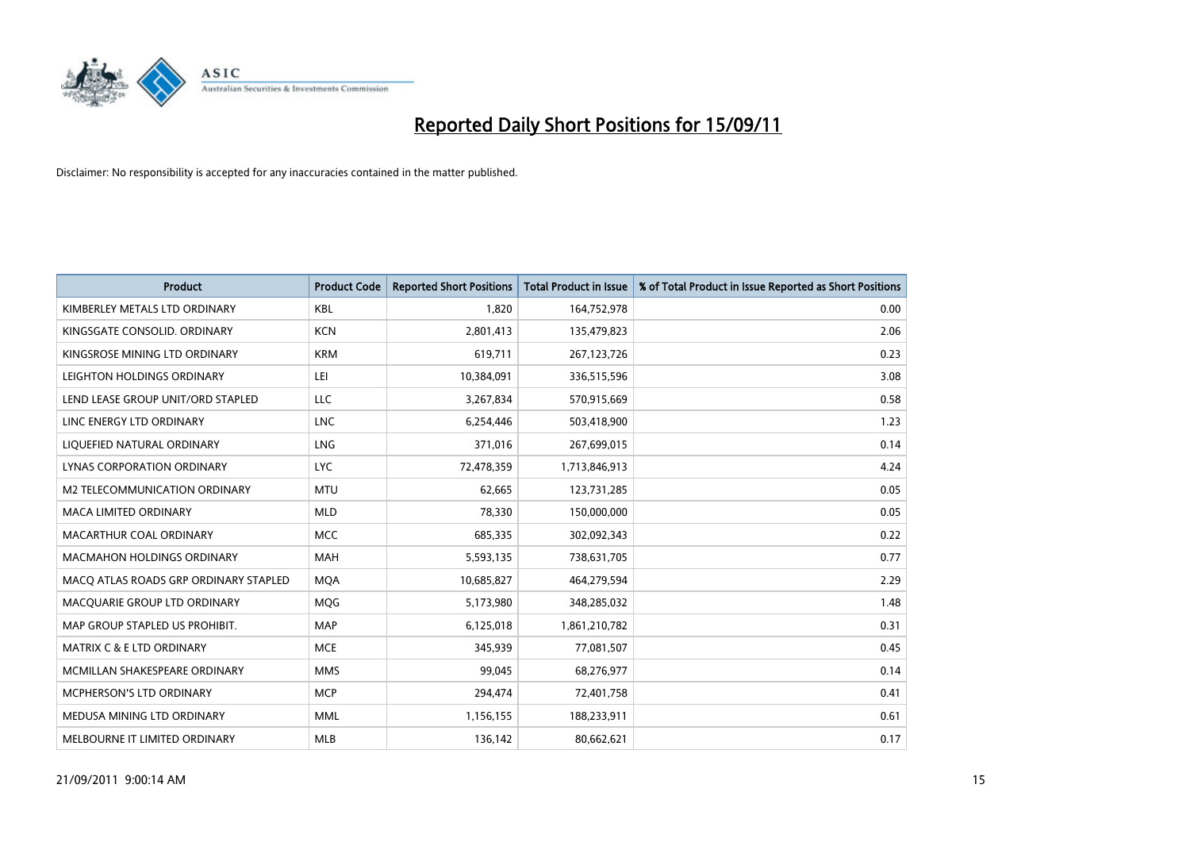

| <b>Product</b>                        | <b>Product Code</b> | <b>Reported Short Positions</b> | Total Product in Issue | % of Total Product in Issue Reported as Short Positions |
|---------------------------------------|---------------------|---------------------------------|------------------------|---------------------------------------------------------|
| KIMBERLEY METALS LTD ORDINARY         | <b>KBL</b>          | 1,820                           | 164,752,978            | 0.00                                                    |
| KINGSGATE CONSOLID. ORDINARY          | <b>KCN</b>          | 2,801,413                       | 135,479,823            | 2.06                                                    |
| KINGSROSE MINING LTD ORDINARY         | <b>KRM</b>          | 619,711                         | 267, 123, 726          | 0.23                                                    |
| LEIGHTON HOLDINGS ORDINARY            | LEI                 | 10,384,091                      | 336,515,596            | 3.08                                                    |
| LEND LEASE GROUP UNIT/ORD STAPLED     | <b>LLC</b>          | 3,267,834                       | 570,915,669            | 0.58                                                    |
| LINC ENERGY LTD ORDINARY              | <b>LNC</b>          | 6,254,446                       | 503,418,900            | 1.23                                                    |
| LIQUEFIED NATURAL ORDINARY            | <b>LNG</b>          | 371,016                         | 267,699,015            | 0.14                                                    |
| LYNAS CORPORATION ORDINARY            | <b>LYC</b>          | 72,478,359                      | 1,713,846,913          | 4.24                                                    |
| M2 TELECOMMUNICATION ORDINARY         | <b>MTU</b>          | 62,665                          | 123,731,285            | 0.05                                                    |
| <b>MACA LIMITED ORDINARY</b>          | <b>MLD</b>          | 78,330                          | 150,000,000            | 0.05                                                    |
| MACARTHUR COAL ORDINARY               | <b>MCC</b>          | 685,335                         | 302,092,343            | 0.22                                                    |
| <b>MACMAHON HOLDINGS ORDINARY</b>     | <b>MAH</b>          | 5,593,135                       | 738,631,705            | 0.77                                                    |
| MACO ATLAS ROADS GRP ORDINARY STAPLED | <b>MQA</b>          | 10,685,827                      | 464,279,594            | 2.29                                                    |
| MACQUARIE GROUP LTD ORDINARY          | <b>MOG</b>          | 5,173,980                       | 348,285,032            | 1.48                                                    |
| MAP GROUP STAPLED US PROHIBIT.        | <b>MAP</b>          | 6,125,018                       | 1,861,210,782          | 0.31                                                    |
| MATRIX C & E LTD ORDINARY             | <b>MCE</b>          | 345,939                         | 77,081,507             | 0.45                                                    |
| MCMILLAN SHAKESPEARE ORDINARY         | <b>MMS</b>          | 99,045                          | 68,276,977             | 0.14                                                    |
| MCPHERSON'S LTD ORDINARY              | <b>MCP</b>          | 294,474                         | 72,401,758             | 0.41                                                    |
| MEDUSA MINING LTD ORDINARY            | <b>MML</b>          | 1,156,155                       | 188,233,911            | 0.61                                                    |
| MELBOURNE IT LIMITED ORDINARY         | <b>MLB</b>          | 136.142                         | 80,662,621             | 0.17                                                    |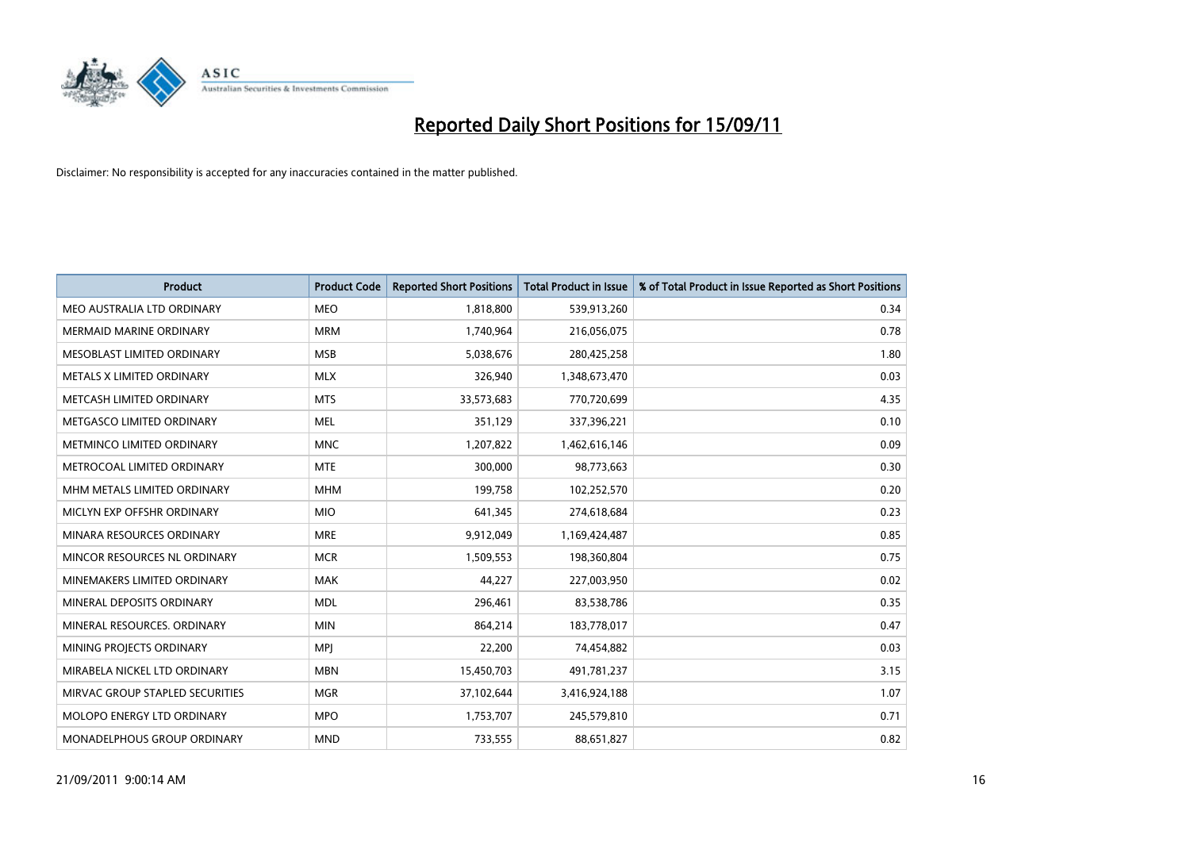

| <b>Product</b>                  | <b>Product Code</b> | <b>Reported Short Positions</b> | Total Product in Issue | % of Total Product in Issue Reported as Short Positions |
|---------------------------------|---------------------|---------------------------------|------------------------|---------------------------------------------------------|
| MEO AUSTRALIA LTD ORDINARY      | <b>MEO</b>          | 1,818,800                       | 539,913,260            | 0.34                                                    |
| <b>MERMAID MARINE ORDINARY</b>  | <b>MRM</b>          | 1,740,964                       | 216,056,075            | 0.78                                                    |
| MESOBLAST LIMITED ORDINARY      | <b>MSB</b>          | 5,038,676                       | 280,425,258            | 1.80                                                    |
| METALS X LIMITED ORDINARY       | <b>MLX</b>          | 326,940                         | 1,348,673,470          | 0.03                                                    |
| METCASH LIMITED ORDINARY        | <b>MTS</b>          | 33,573,683                      | 770,720,699            | 4.35                                                    |
| METGASCO LIMITED ORDINARY       | <b>MEL</b>          | 351,129                         | 337,396,221            | 0.10                                                    |
| METMINCO LIMITED ORDINARY       | <b>MNC</b>          | 1,207,822                       | 1,462,616,146          | 0.09                                                    |
| METROCOAL LIMITED ORDINARY      | <b>MTE</b>          | 300,000                         | 98,773,663             | 0.30                                                    |
| MHM METALS LIMITED ORDINARY     | <b>MHM</b>          | 199,758                         | 102,252,570            | 0.20                                                    |
| MICLYN EXP OFFSHR ORDINARY      | <b>MIO</b>          | 641,345                         | 274,618,684            | 0.23                                                    |
| MINARA RESOURCES ORDINARY       | <b>MRE</b>          | 9,912,049                       | 1,169,424,487          | 0.85                                                    |
| MINCOR RESOURCES NL ORDINARY    | <b>MCR</b>          | 1,509,553                       | 198,360,804            | 0.75                                                    |
| MINEMAKERS LIMITED ORDINARY     | <b>MAK</b>          | 44.227                          | 227,003,950            | 0.02                                                    |
| MINERAL DEPOSITS ORDINARY       | <b>MDL</b>          | 296,461                         | 83,538,786             | 0.35                                                    |
| MINERAL RESOURCES. ORDINARY     | <b>MIN</b>          | 864,214                         | 183,778,017            | 0.47                                                    |
| MINING PROJECTS ORDINARY        | <b>MPI</b>          | 22,200                          | 74,454,882             | 0.03                                                    |
| MIRABELA NICKEL LTD ORDINARY    | <b>MBN</b>          | 15,450,703                      | 491,781,237            | 3.15                                                    |
| MIRVAC GROUP STAPLED SECURITIES | <b>MGR</b>          | 37,102,644                      | 3,416,924,188          | 1.07                                                    |
| MOLOPO ENERGY LTD ORDINARY      | <b>MPO</b>          | 1,753,707                       | 245,579,810            | 0.71                                                    |
| MONADELPHOUS GROUP ORDINARY     | <b>MND</b>          | 733,555                         | 88,651,827             | 0.82                                                    |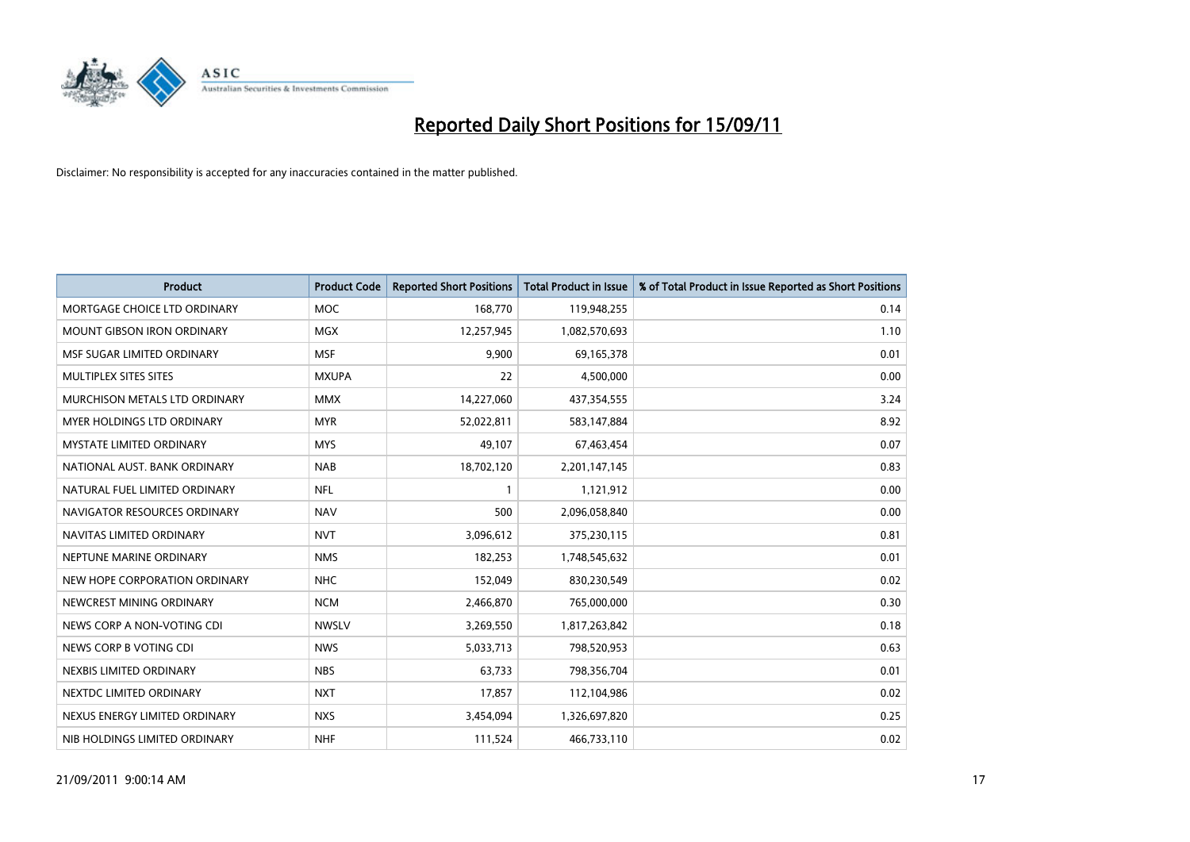

| <b>Product</b>                    | <b>Product Code</b> | <b>Reported Short Positions</b> | <b>Total Product in Issue</b> | % of Total Product in Issue Reported as Short Positions |
|-----------------------------------|---------------------|---------------------------------|-------------------------------|---------------------------------------------------------|
| MORTGAGE CHOICE LTD ORDINARY      | <b>MOC</b>          | 168,770                         | 119,948,255                   | 0.14                                                    |
| MOUNT GIBSON IRON ORDINARY        | <b>MGX</b>          | 12,257,945                      | 1,082,570,693                 | 1.10                                                    |
| MSF SUGAR LIMITED ORDINARY        | <b>MSF</b>          | 9,900                           | 69,165,378                    | 0.01                                                    |
| MULTIPLEX SITES SITES             | <b>MXUPA</b>        | 22                              | 4,500,000                     | 0.00                                                    |
| MURCHISON METALS LTD ORDINARY     | <b>MMX</b>          | 14,227,060                      | 437,354,555                   | 3.24                                                    |
| <b>MYER HOLDINGS LTD ORDINARY</b> | <b>MYR</b>          | 52,022,811                      | 583,147,884                   | 8.92                                                    |
| MYSTATE LIMITED ORDINARY          | <b>MYS</b>          | 49,107                          | 67,463,454                    | 0.07                                                    |
| NATIONAL AUST, BANK ORDINARY      | <b>NAB</b>          | 18,702,120                      | 2,201,147,145                 | 0.83                                                    |
| NATURAL FUEL LIMITED ORDINARY     | <b>NFL</b>          |                                 | 1,121,912                     | 0.00                                                    |
| NAVIGATOR RESOURCES ORDINARY      | <b>NAV</b>          | 500                             | 2,096,058,840                 | 0.00                                                    |
| NAVITAS LIMITED ORDINARY          | <b>NVT</b>          | 3,096,612                       | 375,230,115                   | 0.81                                                    |
| NEPTUNE MARINE ORDINARY           | <b>NMS</b>          | 182,253                         | 1,748,545,632                 | 0.01                                                    |
| NEW HOPE CORPORATION ORDINARY     | <b>NHC</b>          | 152,049                         | 830,230,549                   | 0.02                                                    |
| NEWCREST MINING ORDINARY          | <b>NCM</b>          | 2,466,870                       | 765,000,000                   | 0.30                                                    |
| NEWS CORP A NON-VOTING CDI        | <b>NWSLV</b>        | 3,269,550                       | 1,817,263,842                 | 0.18                                                    |
| NEWS CORP B VOTING CDI            | <b>NWS</b>          | 5,033,713                       | 798,520,953                   | 0.63                                                    |
| NEXBIS LIMITED ORDINARY           | <b>NBS</b>          | 63,733                          | 798,356,704                   | 0.01                                                    |
| NEXTDC LIMITED ORDINARY           | <b>NXT</b>          | 17,857                          | 112,104,986                   | 0.02                                                    |
| NEXUS ENERGY LIMITED ORDINARY     | <b>NXS</b>          | 3,454,094                       | 1,326,697,820                 | 0.25                                                    |
| NIB HOLDINGS LIMITED ORDINARY     | <b>NHF</b>          | 111,524                         | 466,733,110                   | 0.02                                                    |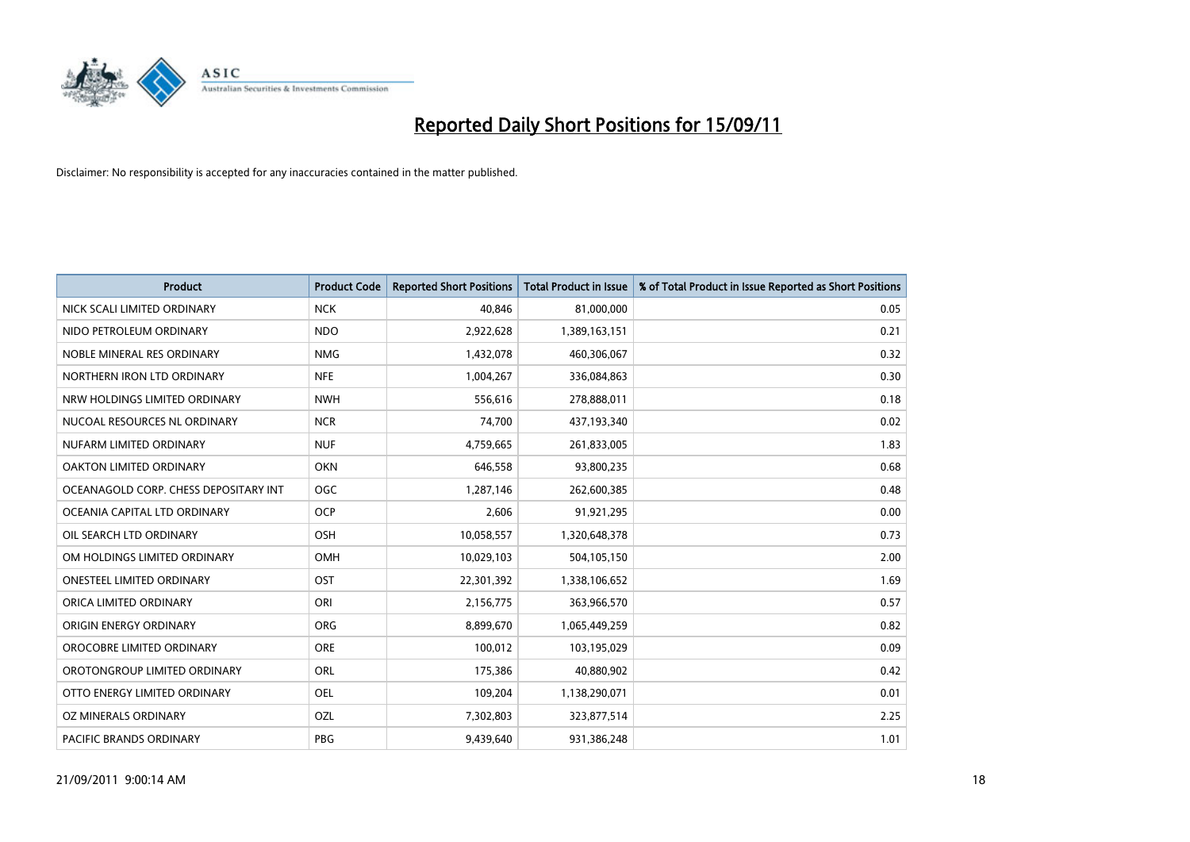

| <b>Product</b>                        | <b>Product Code</b> | <b>Reported Short Positions</b> | <b>Total Product in Issue</b> | % of Total Product in Issue Reported as Short Positions |
|---------------------------------------|---------------------|---------------------------------|-------------------------------|---------------------------------------------------------|
| NICK SCALI LIMITED ORDINARY           | <b>NCK</b>          | 40,846                          | 81,000,000                    | 0.05                                                    |
| NIDO PETROLEUM ORDINARY               | <b>NDO</b>          | 2,922,628                       | 1,389,163,151                 | 0.21                                                    |
| NOBLE MINERAL RES ORDINARY            | <b>NMG</b>          | 1,432,078                       | 460,306,067                   | 0.32                                                    |
| NORTHERN IRON LTD ORDINARY            | <b>NFE</b>          | 1,004,267                       | 336,084,863                   | 0.30                                                    |
| NRW HOLDINGS LIMITED ORDINARY         | <b>NWH</b>          | 556,616                         | 278,888,011                   | 0.18                                                    |
| NUCOAL RESOURCES NL ORDINARY          | <b>NCR</b>          | 74,700                          | 437,193,340                   | 0.02                                                    |
| NUFARM LIMITED ORDINARY               | <b>NUF</b>          | 4,759,665                       | 261,833,005                   | 1.83                                                    |
| OAKTON LIMITED ORDINARY               | <b>OKN</b>          | 646,558                         | 93,800,235                    | 0.68                                                    |
| OCEANAGOLD CORP. CHESS DEPOSITARY INT | OGC                 | 1,287,146                       | 262,600,385                   | 0.48                                                    |
| OCEANIA CAPITAL LTD ORDINARY          | <b>OCP</b>          | 2,606                           | 91,921,295                    | 0.00                                                    |
| OIL SEARCH LTD ORDINARY               | <b>OSH</b>          | 10,058,557                      | 1,320,648,378                 | 0.73                                                    |
| OM HOLDINGS LIMITED ORDINARY          | <b>OMH</b>          | 10,029,103                      | 504,105,150                   | 2.00                                                    |
| <b>ONESTEEL LIMITED ORDINARY</b>      | OST                 | 22,301,392                      | 1,338,106,652                 | 1.69                                                    |
| ORICA LIMITED ORDINARY                | <b>ORI</b>          | 2,156,775                       | 363,966,570                   | 0.57                                                    |
| ORIGIN ENERGY ORDINARY                | <b>ORG</b>          | 8,899,670                       | 1,065,449,259                 | 0.82                                                    |
| OROCOBRE LIMITED ORDINARY             | <b>ORE</b>          | 100,012                         | 103,195,029                   | 0.09                                                    |
| OROTONGROUP LIMITED ORDINARY          | <b>ORL</b>          | 175,386                         | 40,880,902                    | 0.42                                                    |
| OTTO ENERGY LIMITED ORDINARY          | <b>OEL</b>          | 109,204                         | 1,138,290,071                 | 0.01                                                    |
| OZ MINERALS ORDINARY                  | OZL                 | 7,302,803                       | 323,877,514                   | 2.25                                                    |
| <b>PACIFIC BRANDS ORDINARY</b>        | PBG                 | 9,439,640                       | 931,386,248                   | 1.01                                                    |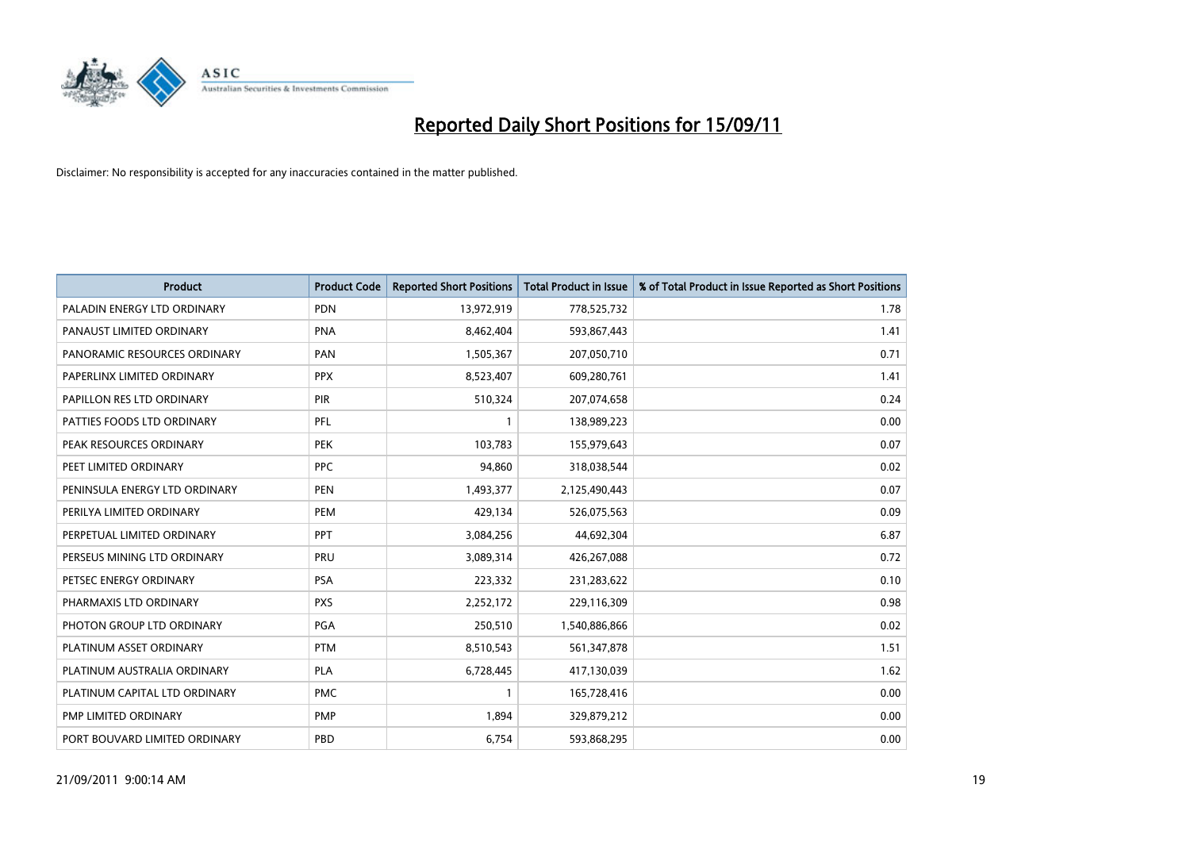

| <b>Product</b>                | <b>Product Code</b> | <b>Reported Short Positions</b> | Total Product in Issue | % of Total Product in Issue Reported as Short Positions |
|-------------------------------|---------------------|---------------------------------|------------------------|---------------------------------------------------------|
| PALADIN ENERGY LTD ORDINARY   | <b>PDN</b>          | 13,972,919                      | 778,525,732            | 1.78                                                    |
| PANAUST LIMITED ORDINARY      | PNA                 | 8,462,404                       | 593,867,443            | 1.41                                                    |
| PANORAMIC RESOURCES ORDINARY  | PAN                 | 1,505,367                       | 207,050,710            | 0.71                                                    |
| PAPERLINX LIMITED ORDINARY    | <b>PPX</b>          | 8,523,407                       | 609,280,761            | 1.41                                                    |
| PAPILLON RES LTD ORDINARY     | PIR                 | 510,324                         | 207,074,658            | 0.24                                                    |
| PATTIES FOODS LTD ORDINARY    | PFL                 |                                 | 138,989,223            | 0.00                                                    |
| PEAK RESOURCES ORDINARY       | <b>PEK</b>          | 103,783                         | 155,979,643            | 0.07                                                    |
| PEET LIMITED ORDINARY         | <b>PPC</b>          | 94,860                          | 318,038,544            | 0.02                                                    |
| PENINSULA ENERGY LTD ORDINARY | <b>PEN</b>          | 1,493,377                       | 2,125,490,443          | 0.07                                                    |
| PERILYA LIMITED ORDINARY      | PEM                 | 429,134                         | 526,075,563            | 0.09                                                    |
| PERPETUAL LIMITED ORDINARY    | <b>PPT</b>          | 3,084,256                       | 44,692,304             | 6.87                                                    |
| PERSEUS MINING LTD ORDINARY   | PRU                 | 3,089,314                       | 426,267,088            | 0.72                                                    |
| PETSEC ENERGY ORDINARY        | <b>PSA</b>          | 223,332                         | 231,283,622            | 0.10                                                    |
| PHARMAXIS LTD ORDINARY        | <b>PXS</b>          | 2,252,172                       | 229,116,309            | 0.98                                                    |
| PHOTON GROUP LTD ORDINARY     | PGA                 | 250,510                         | 1,540,886,866          | 0.02                                                    |
| PLATINUM ASSET ORDINARY       | <b>PTM</b>          | 8,510,543                       | 561,347,878            | 1.51                                                    |
| PLATINUM AUSTRALIA ORDINARY   | <b>PLA</b>          | 6,728,445                       | 417,130,039            | 1.62                                                    |
| PLATINUM CAPITAL LTD ORDINARY | <b>PMC</b>          |                                 | 165,728,416            | 0.00                                                    |
| PMP LIMITED ORDINARY          | PMP                 | 1,894                           | 329,879,212            | 0.00                                                    |
| PORT BOUVARD LIMITED ORDINARY | PBD                 | 6,754                           | 593,868,295            | 0.00                                                    |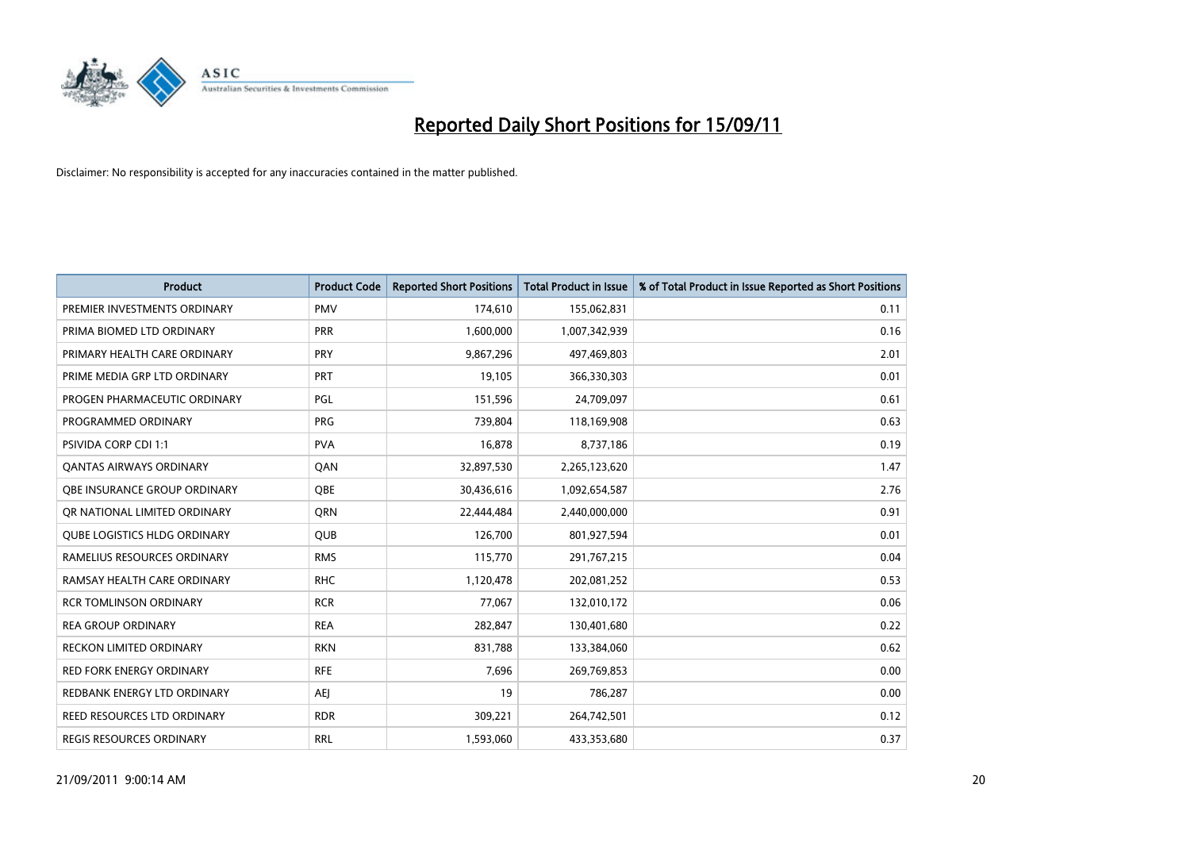

| <b>Product</b>                      | <b>Product Code</b> | <b>Reported Short Positions</b> | Total Product in Issue | % of Total Product in Issue Reported as Short Positions |
|-------------------------------------|---------------------|---------------------------------|------------------------|---------------------------------------------------------|
| PREMIER INVESTMENTS ORDINARY        | <b>PMV</b>          | 174,610                         | 155,062,831            | 0.11                                                    |
| PRIMA BIOMED LTD ORDINARY           | <b>PRR</b>          | 1,600,000                       | 1,007,342,939          | 0.16                                                    |
| PRIMARY HEALTH CARE ORDINARY        | <b>PRY</b>          | 9,867,296                       | 497,469,803            | 2.01                                                    |
| PRIME MEDIA GRP LTD ORDINARY        | <b>PRT</b>          | 19,105                          | 366,330,303            | 0.01                                                    |
| PROGEN PHARMACEUTIC ORDINARY        | <b>PGL</b>          | 151,596                         | 24,709,097             | 0.61                                                    |
| PROGRAMMED ORDINARY                 | <b>PRG</b>          | 739,804                         | 118,169,908            | 0.63                                                    |
| <b>PSIVIDA CORP CDI 1:1</b>         | <b>PVA</b>          | 16,878                          | 8,737,186              | 0.19                                                    |
| <b>QANTAS AIRWAYS ORDINARY</b>      | QAN                 | 32,897,530                      | 2,265,123,620          | 1.47                                                    |
| OBE INSURANCE GROUP ORDINARY        | <b>OBE</b>          | 30,436,616                      | 1,092,654,587          | 2.76                                                    |
| OR NATIONAL LIMITED ORDINARY        | <b>ORN</b>          | 22,444,484                      | 2,440,000,000          | 0.91                                                    |
| <b>QUBE LOGISTICS HLDG ORDINARY</b> | <b>QUB</b>          | 126,700                         | 801,927,594            | 0.01                                                    |
| RAMELIUS RESOURCES ORDINARY         | <b>RMS</b>          | 115,770                         | 291,767,215            | 0.04                                                    |
| RAMSAY HEALTH CARE ORDINARY         | <b>RHC</b>          | 1,120,478                       | 202,081,252            | 0.53                                                    |
| <b>RCR TOMLINSON ORDINARY</b>       | <b>RCR</b>          | 77,067                          | 132,010,172            | 0.06                                                    |
| <b>REA GROUP ORDINARY</b>           | <b>REA</b>          | 282,847                         | 130,401,680            | 0.22                                                    |
| <b>RECKON LIMITED ORDINARY</b>      | <b>RKN</b>          | 831,788                         | 133,384,060            | 0.62                                                    |
| <b>RED FORK ENERGY ORDINARY</b>     | <b>RFE</b>          | 7,696                           | 269,769,853            | 0.00                                                    |
| REDBANK ENERGY LTD ORDINARY         | AEJ                 | 19                              | 786,287                | 0.00                                                    |
| <b>REED RESOURCES LTD ORDINARY</b>  | <b>RDR</b>          | 309,221                         | 264,742,501            | 0.12                                                    |
| REGIS RESOURCES ORDINARY            | <b>RRL</b>          | 1,593,060                       | 433,353,680            | 0.37                                                    |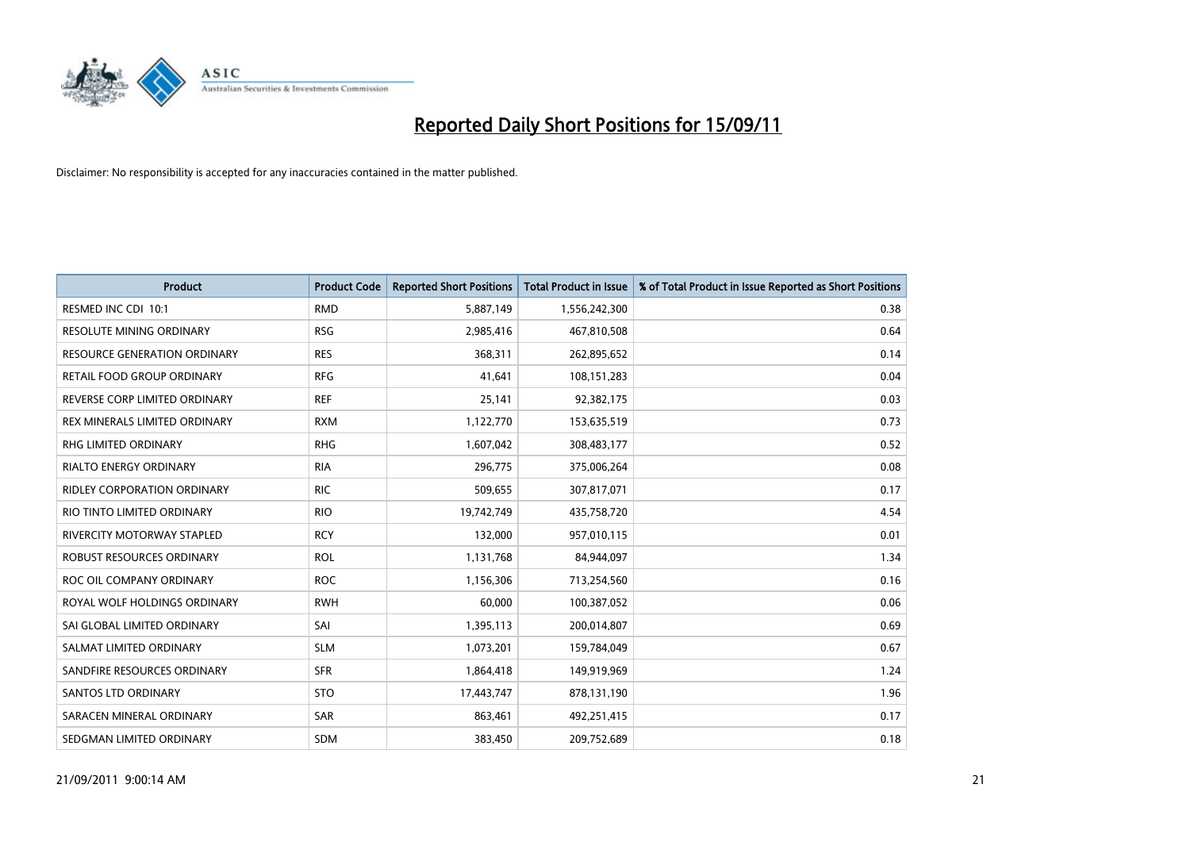

| <b>Product</b>                      | <b>Product Code</b> | <b>Reported Short Positions</b> | Total Product in Issue | % of Total Product in Issue Reported as Short Positions |
|-------------------------------------|---------------------|---------------------------------|------------------------|---------------------------------------------------------|
| RESMED INC CDI 10:1                 | <b>RMD</b>          | 5,887,149                       | 1,556,242,300          | 0.38                                                    |
| RESOLUTE MINING ORDINARY            | <b>RSG</b>          | 2,985,416                       | 467,810,508            | 0.64                                                    |
| <b>RESOURCE GENERATION ORDINARY</b> | <b>RES</b>          | 368,311                         | 262,895,652            | 0.14                                                    |
| RETAIL FOOD GROUP ORDINARY          | <b>RFG</b>          | 41,641                          | 108,151,283            | 0.04                                                    |
| REVERSE CORP LIMITED ORDINARY       | <b>REF</b>          | 25,141                          | 92,382,175             | 0.03                                                    |
| REX MINERALS LIMITED ORDINARY       | <b>RXM</b>          | 1,122,770                       | 153,635,519            | 0.73                                                    |
| <b>RHG LIMITED ORDINARY</b>         | <b>RHG</b>          | 1,607,042                       | 308,483,177            | 0.52                                                    |
| <b>RIALTO ENERGY ORDINARY</b>       | <b>RIA</b>          | 296,775                         | 375,006,264            | 0.08                                                    |
| RIDLEY CORPORATION ORDINARY         | <b>RIC</b>          | 509,655                         | 307,817,071            | 0.17                                                    |
| RIO TINTO LIMITED ORDINARY          | <b>RIO</b>          | 19,742,749                      | 435,758,720            | 4.54                                                    |
| RIVERCITY MOTORWAY STAPLED          | <b>RCY</b>          | 132,000                         | 957,010,115            | 0.01                                                    |
| ROBUST RESOURCES ORDINARY           | <b>ROL</b>          | 1,131,768                       | 84,944,097             | 1.34                                                    |
| ROC OIL COMPANY ORDINARY            | <b>ROC</b>          | 1,156,306                       | 713,254,560            | 0.16                                                    |
| ROYAL WOLF HOLDINGS ORDINARY        | <b>RWH</b>          | 60.000                          | 100,387,052            | 0.06                                                    |
| SAI GLOBAL LIMITED ORDINARY         | SAI                 | 1,395,113                       | 200,014,807            | 0.69                                                    |
| SALMAT LIMITED ORDINARY             | <b>SLM</b>          | 1,073,201                       | 159,784,049            | 0.67                                                    |
| SANDFIRE RESOURCES ORDINARY         | <b>SFR</b>          | 1,864,418                       | 149,919,969            | 1.24                                                    |
| <b>SANTOS LTD ORDINARY</b>          | <b>STO</b>          | 17,443,747                      | 878,131,190            | 1.96                                                    |
| SARACEN MINERAL ORDINARY            | SAR                 | 863,461                         | 492,251,415            | 0.17                                                    |
| SEDGMAN LIMITED ORDINARY            | <b>SDM</b>          | 383,450                         | 209,752,689            | 0.18                                                    |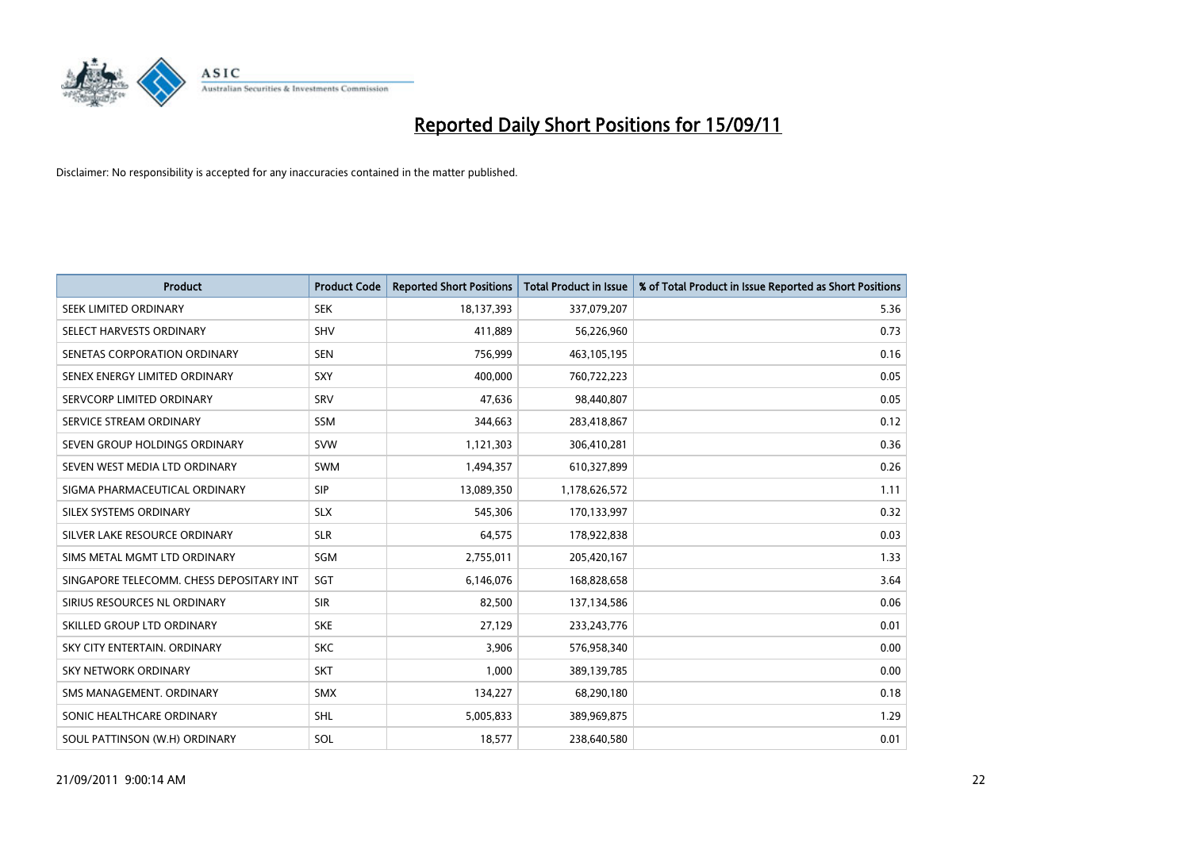

| <b>Product</b>                           | <b>Product Code</b> | <b>Reported Short Positions</b> | Total Product in Issue | % of Total Product in Issue Reported as Short Positions |
|------------------------------------------|---------------------|---------------------------------|------------------------|---------------------------------------------------------|
| SEEK LIMITED ORDINARY                    | <b>SEK</b>          | 18,137,393                      | 337,079,207            | 5.36                                                    |
| SELECT HARVESTS ORDINARY                 | <b>SHV</b>          | 411,889                         | 56,226,960             | 0.73                                                    |
| SENETAS CORPORATION ORDINARY             | <b>SEN</b>          | 756,999                         | 463,105,195            | 0.16                                                    |
| SENEX ENERGY LIMITED ORDINARY            | SXY                 | 400,000                         | 760,722,223            | 0.05                                                    |
| SERVCORP LIMITED ORDINARY                | SRV                 | 47,636                          | 98,440,807             | 0.05                                                    |
| SERVICE STREAM ORDINARY                  | <b>SSM</b>          | 344.663                         | 283,418,867            | 0.12                                                    |
| SEVEN GROUP HOLDINGS ORDINARY            | <b>SVW</b>          | 1,121,303                       | 306,410,281            | 0.36                                                    |
| SEVEN WEST MEDIA LTD ORDINARY            | <b>SWM</b>          | 1,494,357                       | 610,327,899            | 0.26                                                    |
| SIGMA PHARMACEUTICAL ORDINARY            | SIP                 | 13,089,350                      | 1,178,626,572          | 1.11                                                    |
| SILEX SYSTEMS ORDINARY                   | <b>SLX</b>          | 545,306                         | 170,133,997            | 0.32                                                    |
| SILVER LAKE RESOURCE ORDINARY            | <b>SLR</b>          | 64,575                          | 178,922,838            | 0.03                                                    |
| SIMS METAL MGMT LTD ORDINARY             | SGM                 | 2,755,011                       | 205,420,167            | 1.33                                                    |
| SINGAPORE TELECOMM. CHESS DEPOSITARY INT | SGT                 | 6,146,076                       | 168,828,658            | 3.64                                                    |
| SIRIUS RESOURCES NL ORDINARY             | <b>SIR</b>          | 82,500                          | 137,134,586            | 0.06                                                    |
| SKILLED GROUP LTD ORDINARY               | <b>SKE</b>          | 27,129                          | 233, 243, 776          | 0.01                                                    |
| SKY CITY ENTERTAIN, ORDINARY             | <b>SKC</b>          | 3.906                           | 576,958,340            | 0.00                                                    |
| <b>SKY NETWORK ORDINARY</b>              | <b>SKT</b>          | 1,000                           | 389,139,785            | 0.00                                                    |
| SMS MANAGEMENT. ORDINARY                 | <b>SMX</b>          | 134,227                         | 68,290,180             | 0.18                                                    |
| SONIC HEALTHCARE ORDINARY                | <b>SHL</b>          | 5,005,833                       | 389,969,875            | 1.29                                                    |
| SOUL PATTINSON (W.H) ORDINARY            | SOL                 | 18,577                          | 238,640,580            | 0.01                                                    |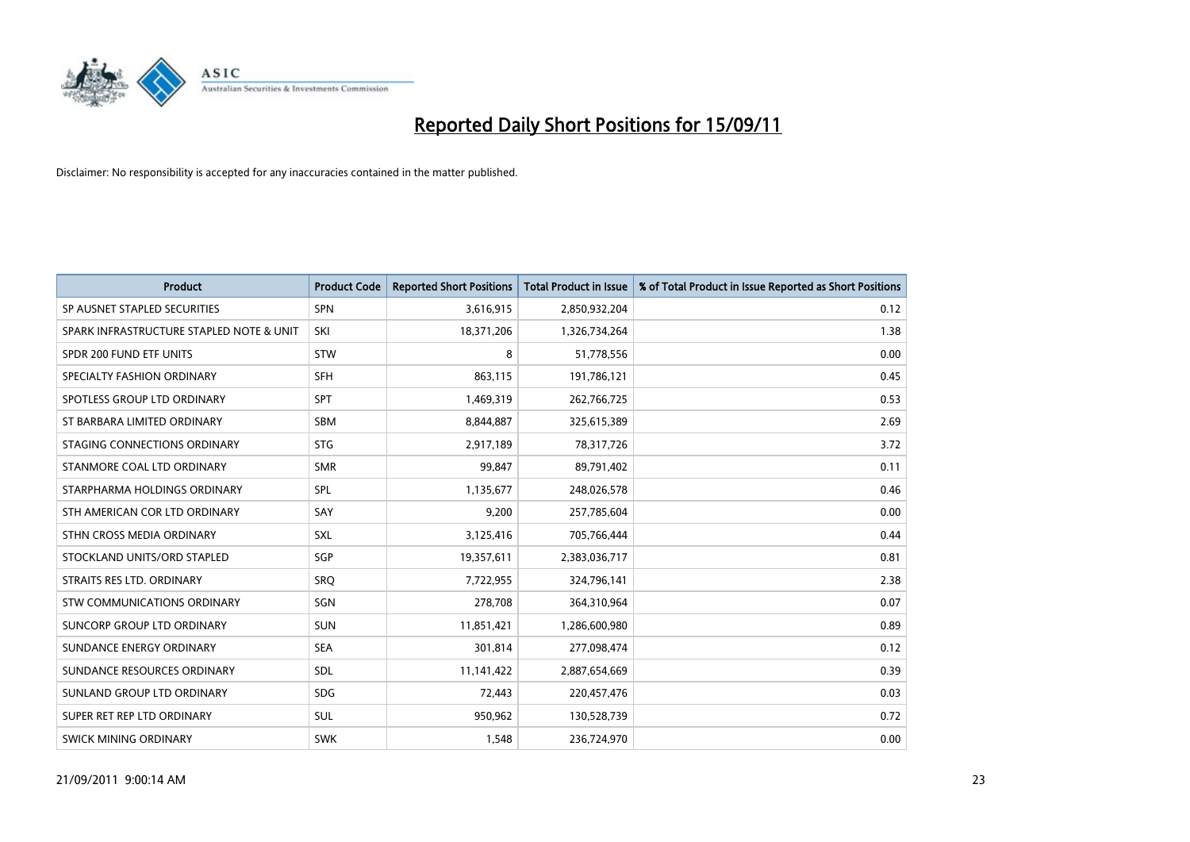

| <b>Product</b>                           | <b>Product Code</b> | <b>Reported Short Positions</b> | <b>Total Product in Issue</b> | % of Total Product in Issue Reported as Short Positions |
|------------------------------------------|---------------------|---------------------------------|-------------------------------|---------------------------------------------------------|
| SP AUSNET STAPLED SECURITIES             | <b>SPN</b>          | 3,616,915                       | 2,850,932,204                 | 0.12                                                    |
| SPARK INFRASTRUCTURE STAPLED NOTE & UNIT | SKI                 | 18,371,206                      | 1,326,734,264                 | 1.38                                                    |
| SPDR 200 FUND ETF UNITS                  | <b>STW</b>          | 8                               | 51,778,556                    | 0.00                                                    |
| SPECIALTY FASHION ORDINARY               | <b>SFH</b>          | 863,115                         | 191,786,121                   | 0.45                                                    |
| SPOTLESS GROUP LTD ORDINARY              | <b>SPT</b>          | 1,469,319                       | 262,766,725                   | 0.53                                                    |
| ST BARBARA LIMITED ORDINARY              | <b>SBM</b>          | 8,844,887                       | 325,615,389                   | 2.69                                                    |
| STAGING CONNECTIONS ORDINARY             | <b>STG</b>          | 2,917,189                       | 78,317,726                    | 3.72                                                    |
| STANMORE COAL LTD ORDINARY               | <b>SMR</b>          | 99,847                          | 89,791,402                    | 0.11                                                    |
| STARPHARMA HOLDINGS ORDINARY             | SPL                 | 1,135,677                       | 248,026,578                   | 0.46                                                    |
| STH AMERICAN COR LTD ORDINARY            | SAY                 | 9,200                           | 257,785,604                   | 0.00                                                    |
| STHN CROSS MEDIA ORDINARY                | <b>SXL</b>          | 3,125,416                       | 705,766,444                   | 0.44                                                    |
| STOCKLAND UNITS/ORD STAPLED              | <b>SGP</b>          | 19,357,611                      | 2,383,036,717                 | 0.81                                                    |
| STRAITS RES LTD. ORDINARY                | SRQ                 | 7,722,955                       | 324,796,141                   | 2.38                                                    |
| <b>STW COMMUNICATIONS ORDINARY</b>       | SGN                 | 278,708                         | 364,310,964                   | 0.07                                                    |
| SUNCORP GROUP LTD ORDINARY               | <b>SUN</b>          | 11,851,421                      | 1,286,600,980                 | 0.89                                                    |
| SUNDANCE ENERGY ORDINARY                 | <b>SEA</b>          | 301,814                         | 277,098,474                   | 0.12                                                    |
| SUNDANCE RESOURCES ORDINARY              | <b>SDL</b>          | 11,141,422                      | 2,887,654,669                 | 0.39                                                    |
| SUNLAND GROUP LTD ORDINARY               | <b>SDG</b>          | 72,443                          | 220,457,476                   | 0.03                                                    |
| SUPER RET REP LTD ORDINARY               | SUL                 | 950,962                         | 130,528,739                   | 0.72                                                    |
| SWICK MINING ORDINARY                    | <b>SWK</b>          | 1,548                           | 236,724,970                   | 0.00                                                    |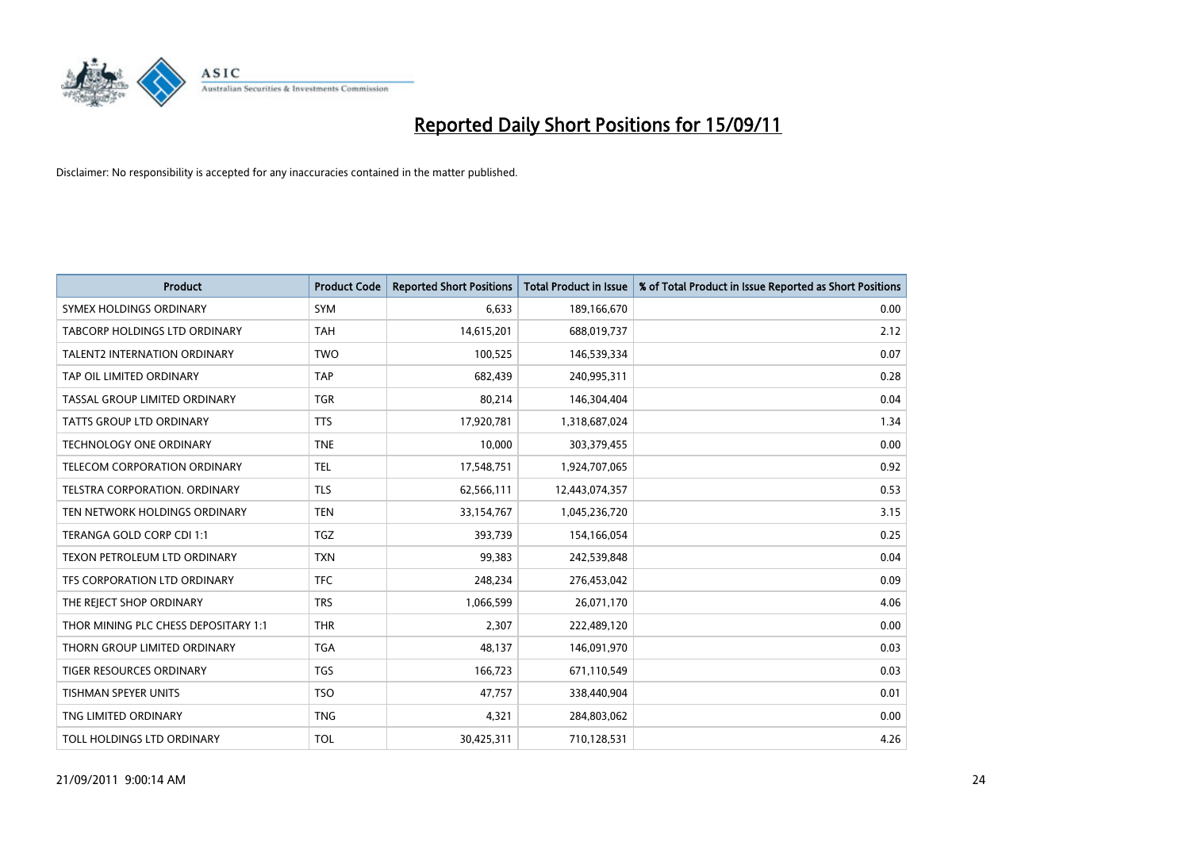

| <b>Product</b>                       | <b>Product Code</b> | <b>Reported Short Positions</b> | Total Product in Issue | % of Total Product in Issue Reported as Short Positions |
|--------------------------------------|---------------------|---------------------------------|------------------------|---------------------------------------------------------|
| SYMEX HOLDINGS ORDINARY              | <b>SYM</b>          | 6,633                           | 189,166,670            | 0.00                                                    |
| <b>TABCORP HOLDINGS LTD ORDINARY</b> | <b>TAH</b>          | 14,615,201                      | 688,019,737            | 2.12                                                    |
| <b>TALENT2 INTERNATION ORDINARY</b>  | <b>TWO</b>          | 100,525                         | 146,539,334            | 0.07                                                    |
| TAP OIL LIMITED ORDINARY             | <b>TAP</b>          | 682,439                         | 240,995,311            | 0.28                                                    |
| TASSAL GROUP LIMITED ORDINARY        | <b>TGR</b>          | 80,214                          | 146,304,404            | 0.04                                                    |
| TATTS GROUP LTD ORDINARY             | <b>TTS</b>          | 17,920,781                      | 1,318,687,024          | 1.34                                                    |
| <b>TECHNOLOGY ONE ORDINARY</b>       | <b>TNE</b>          | 10.000                          | 303,379,455            | 0.00                                                    |
| TELECOM CORPORATION ORDINARY         | <b>TEL</b>          | 17,548,751                      | 1,924,707,065          | 0.92                                                    |
| TELSTRA CORPORATION. ORDINARY        | <b>TLS</b>          | 62,566,111                      | 12,443,074,357         | 0.53                                                    |
| TEN NETWORK HOLDINGS ORDINARY        | <b>TEN</b>          | 33,154,767                      | 1,045,236,720          | 3.15                                                    |
| TERANGA GOLD CORP CDI 1:1            | <b>TGZ</b>          | 393,739                         | 154,166,054            | 0.25                                                    |
| TEXON PETROLEUM LTD ORDINARY         | <b>TXN</b>          | 99,383                          | 242,539,848            | 0.04                                                    |
| TFS CORPORATION LTD ORDINARY         | <b>TFC</b>          | 248,234                         | 276,453,042            | 0.09                                                    |
| THE REJECT SHOP ORDINARY             | <b>TRS</b>          | 1,066,599                       | 26,071,170             | 4.06                                                    |
| THOR MINING PLC CHESS DEPOSITARY 1:1 | <b>THR</b>          | 2,307                           | 222,489,120            | 0.00                                                    |
| THORN GROUP LIMITED ORDINARY         | <b>TGA</b>          | 48,137                          | 146,091,970            | 0.03                                                    |
| <b>TIGER RESOURCES ORDINARY</b>      | <b>TGS</b>          | 166,723                         | 671,110,549            | 0.03                                                    |
| TISHMAN SPEYER UNITS                 | <b>TSO</b>          | 47,757                          | 338,440,904            | 0.01                                                    |
| TNG LIMITED ORDINARY                 | <b>TNG</b>          | 4,321                           | 284,803,062            | 0.00                                                    |
| TOLL HOLDINGS LTD ORDINARY           | <b>TOL</b>          | 30,425,311                      | 710,128,531            | 4.26                                                    |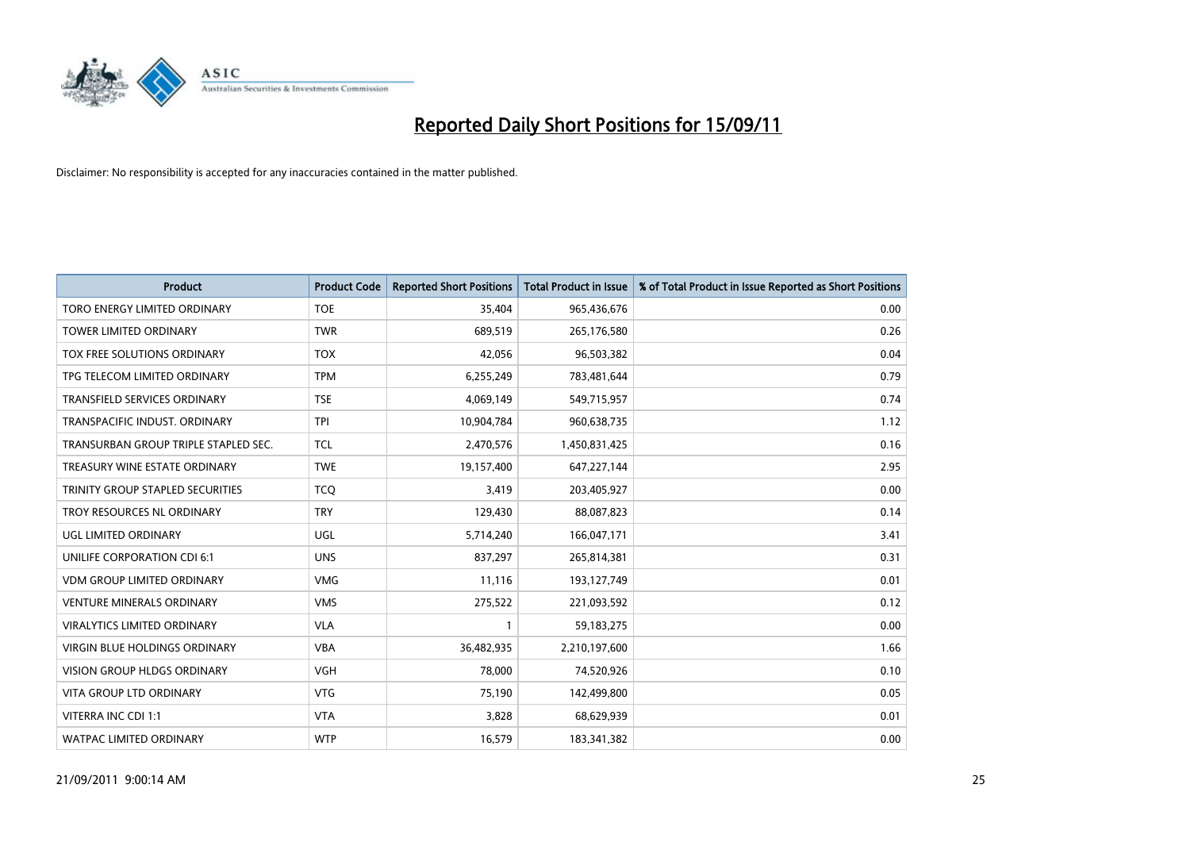

| <b>Product</b>                       | <b>Product Code</b> | <b>Reported Short Positions</b> | Total Product in Issue | % of Total Product in Issue Reported as Short Positions |
|--------------------------------------|---------------------|---------------------------------|------------------------|---------------------------------------------------------|
| TORO ENERGY LIMITED ORDINARY         | <b>TOE</b>          | 35,404                          | 965,436,676            | 0.00                                                    |
| TOWER LIMITED ORDINARY               | <b>TWR</b>          | 689,519                         | 265,176,580            | 0.26                                                    |
| TOX FREE SOLUTIONS ORDINARY          | <b>TOX</b>          | 42,056                          | 96,503,382             | 0.04                                                    |
| TPG TELECOM LIMITED ORDINARY         | <b>TPM</b>          | 6,255,249                       | 783,481,644            | 0.79                                                    |
| <b>TRANSFIELD SERVICES ORDINARY</b>  | <b>TSE</b>          | 4,069,149                       | 549,715,957            | 0.74                                                    |
| TRANSPACIFIC INDUST, ORDINARY        | <b>TPI</b>          | 10,904,784                      | 960,638,735            | 1.12                                                    |
| TRANSURBAN GROUP TRIPLE STAPLED SEC. | <b>TCL</b>          | 2,470,576                       | 1,450,831,425          | 0.16                                                    |
| TREASURY WINE ESTATE ORDINARY        | <b>TWE</b>          | 19,157,400                      | 647,227,144            | 2.95                                                    |
| TRINITY GROUP STAPLED SECURITIES     | <b>TCQ</b>          | 3,419                           | 203,405,927            | 0.00                                                    |
| TROY RESOURCES NL ORDINARY           | <b>TRY</b>          | 129,430                         | 88,087,823             | 0.14                                                    |
| UGL LIMITED ORDINARY                 | <b>UGL</b>          | 5,714,240                       | 166,047,171            | 3.41                                                    |
| UNILIFE CORPORATION CDI 6:1          | <b>UNS</b>          | 837,297                         | 265,814,381            | 0.31                                                    |
| <b>VDM GROUP LIMITED ORDINARY</b>    | <b>VMG</b>          | 11,116                          | 193,127,749            | 0.01                                                    |
| <b>VENTURE MINERALS ORDINARY</b>     | <b>VMS</b>          | 275,522                         | 221,093,592            | 0.12                                                    |
| <b>VIRALYTICS LIMITED ORDINARY</b>   | <b>VLA</b>          |                                 | 59,183,275             | 0.00                                                    |
| <b>VIRGIN BLUE HOLDINGS ORDINARY</b> | <b>VBA</b>          | 36,482,935                      | 2,210,197,600          | 1.66                                                    |
| VISION GROUP HLDGS ORDINARY          | <b>VGH</b>          | 78,000                          | 74,520,926             | 0.10                                                    |
| <b>VITA GROUP LTD ORDINARY</b>       | <b>VTG</b>          | 75,190                          | 142,499,800            | 0.05                                                    |
| VITERRA INC CDI 1:1                  | <b>VTA</b>          | 3,828                           | 68,629,939             | 0.01                                                    |
| <b>WATPAC LIMITED ORDINARY</b>       | <b>WTP</b>          | 16,579                          | 183,341,382            | 0.00                                                    |